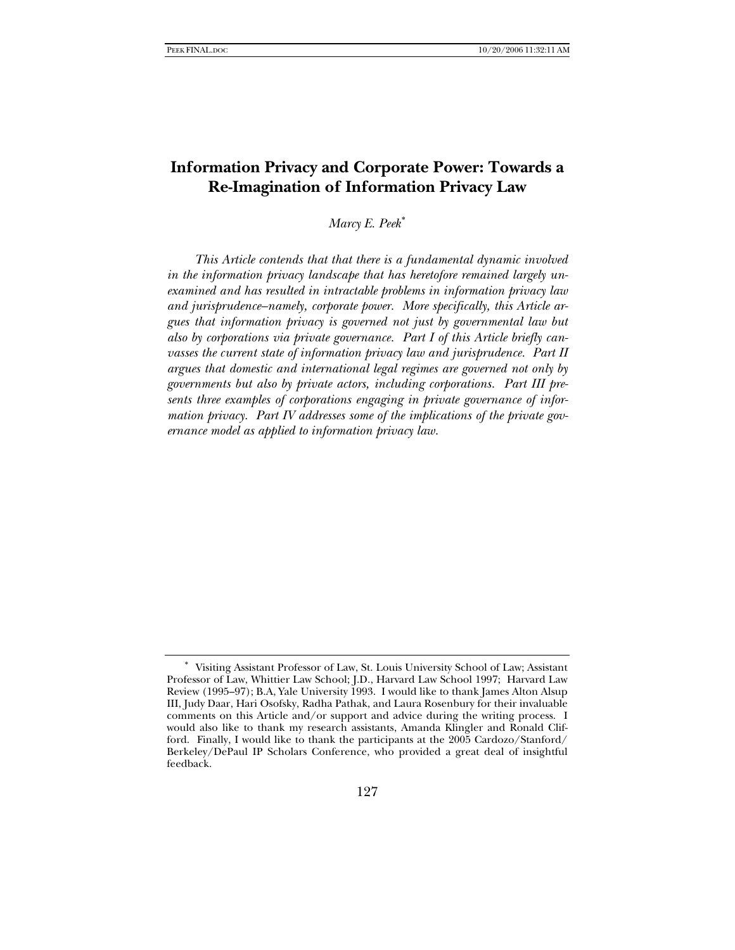# **Information Privacy and Corporate Power: Towards a Re-Imagination of Information Privacy Law**

*Marcy E. Peek*[∗](#page-0-0)

*This Article contends that that there is a fundamental dynamic involved in the information privacy landscape that has heretofore remained largely unexamined and has resulted in intractable problems in information privacy law and jurisprudence–namely, corporate power. More specifically, this Article argues that information privacy is governed not just by governmental law but also by corporations via private governance. Part I of this Article briefly canvasses the current state of information privacy law and jurisprudence. Part II argues that domestic and international legal regimes are governed not only by governments but also by private actors, including corporations. Part III presents three examples of corporations engaging in private governance of information privacy. Part IV addresses some of the implications of the private governance model as applied to information privacy law.* 

<span id="page-0-0"></span><sup>∗</sup> Visiting Assistant Professor of Law, St. Louis University School of Law; Assistant Professor of Law, Whittier Law School; J.D., Harvard Law School 1997; Harvard Law Review (1995–97); B.A, Yale University 1993. I would like to thank James Alton Alsup III, Judy Daar, Hari Osofsky, Radha Pathak, and Laura Rosenbury for their invaluable comments on this Article and/or support and advice during the writing process. I would also like to thank my research assistants, Amanda Klingler and Ronald Clifford. Finally, I would like to thank the participants at the 2005 Cardozo/Stanford/ Berkeley/DePaul IP Scholars Conference, who provided a great deal of insightful feedback.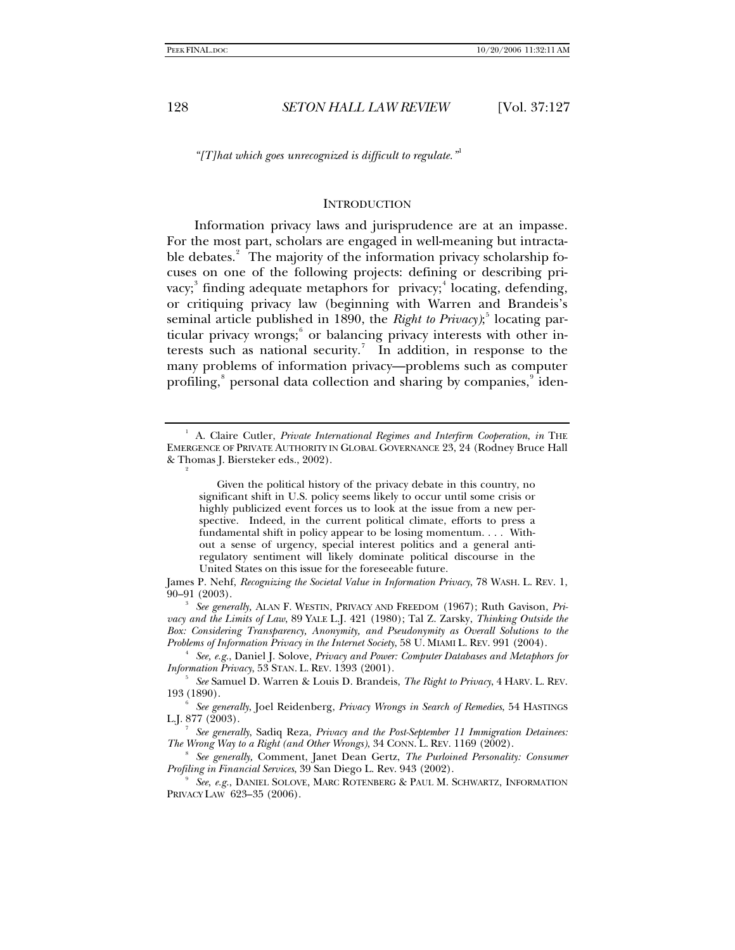*"[T]hat which goes unrecognized is difficult to regulate."*[1](#page-1-0)

## **INTRODUCTION**

Information privacy laws and jurisprudence are at an impasse. For the most part, scholars are engaged in well-meaning but intracta-ble debates.<sup>[2](#page-1-1)</sup> The majority of the information privacy scholarship focuses on one of the following projects: defining or describing pri-vacy;<sup>[3](#page-1-2)</sup> finding adequate metaphors for privacy;<sup>[4](#page-1-3)</sup> locating, defending, or critiquing privacy law (beginning with Warren and Brandeis's seminal article published in 1890, the *Right to Privacy*);<sup>[5](#page-1-4)</sup> locating par-ticular privacy wrongs;<sup>[6](#page-1-5)</sup> or balancing privacy interests with other in-terests such as national security.<sup>[7](#page-1-6)</sup> In addition, in response to the many problems of information privacy—problems such as computer profiling,<sup>[8](#page-1-7)</sup> personal data collection and sharing by companies,<sup>[9](#page-1-8)</sup> iden-

<span id="page-1-1"></span><span id="page-1-0"></span><sup>&</sup>lt;sup>1</sup> A. Claire Cutler, *Private International Regimes and Interfirm Cooperation*, *in* THE EMERGENCE OF PRIVATE AUTHORITY IN GLOBAL GOVERNANCE 23, 24 (Rodney Bruce Hall & Thomas J. Biersteker eds., 2002).

Given the political history of the privacy debate in this country, no significant shift in U.S. policy seems likely to occur until some crisis or highly publicized event forces us to look at the issue from a new perspective. Indeed, in the current political climate, efforts to press a fundamental shift in policy appear to be losing momentum. . . . Without a sense of urgency, special interest politics and a general antiregulatory sentiment will likely dominate political discourse in the United States on this issue for the foreseeable future.

James P. Nehf, *Recognizing the Societal Value in Information Privacy*, 78 WASH. L. REV. 1, 90–91 (2003). 3

<span id="page-1-2"></span><sup>&</sup>lt;sup>3</sup> See generally, ALAN F. WESTIN, PRIVACY AND FREEDOM (1967); Ruth Gavison, *Privacy and the Limits of Law*, 89 YALE L.J. 421 (1980); Tal Z. Zarsky, *Thinking Outside the Box: Considering Transparency, Anonymity, and Pseudonymity as Overall Solutions to the Problems of Information Privacy in the Internet Society*, 58 U. MIAMI L. REV. 991 (2004). 4

<span id="page-1-3"></span>*See, e.g.*, Daniel J. Solove, *Privacy and Power: Computer Databases and Metaphors for Information Privacy*, 53 STAN. L. REV. 1393 (2001).

<span id="page-1-4"></span>*See* Samuel D. Warren & Louis D. Brandeis, *The Right to Privacy*, 4 HARV. L. REV. 193 (1890).

<span id="page-1-5"></span><sup>6</sup>  *See generally*, Joel Reidenberg, *Privacy Wrongs in Search of Remedies*, 54 HASTINGS L.J. 877 (2003).

<span id="page-1-6"></span>*See generally*, Sadiq Reza, *Privacy and the Post-September 11 Immigration Detainees: The Wrong Way to a Right (and Other Wrongs)*, 34 CONN. L. REV. 1169 (2002).

<span id="page-1-7"></span>*See generally,* Comment, Janet Dean Gertz, *The Purloined Personality: Consumer Profiling in Financial Services, 39 San Diego L. Rev. 943 (2002).* 

<span id="page-1-8"></span>*See*, *e.g.*, DANIEL SOLOVE, MARC ROTENBERG & PAUL M. SCHWARTZ, INFORMATION PRIVACY LAW 623–35 (2006).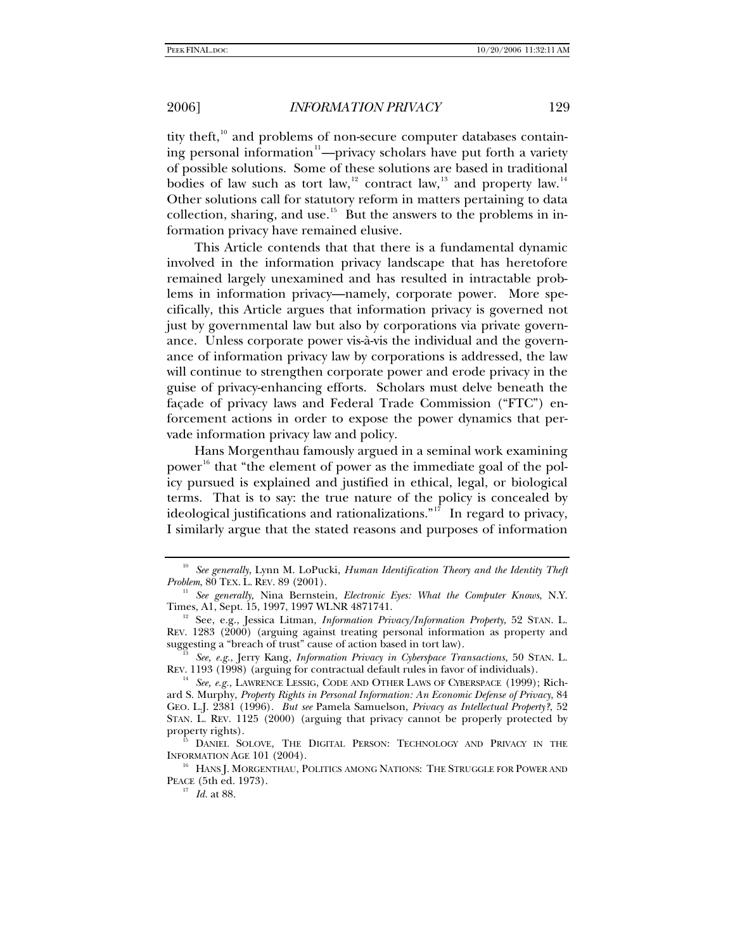tity theft, $10$  and problems of non-secure computer databases contain-ing personal information<sup>[11](#page-2-1)</sup>—privacy scholars have put forth a variety of possible solutions. Some of these solutions are based in traditional bodies of law such as tort law,<sup>[12](#page-2-2)</sup> contract law,<sup>[13](#page-2-3)</sup> and property law.<sup>[14](#page-2-4)</sup> Other solutions call for statutory reform in matters pertaining to data collection, sharing, and use.<sup>[15](#page-2-5)</sup> But the answers to the problems in information privacy have remained elusive.

This Article contends that that there is a fundamental dynamic involved in the information privacy landscape that has heretofore remained largely unexamined and has resulted in intractable problems in information privacy—namely, corporate power. More specifically, this Article argues that information privacy is governed not just by governmental law but also by corporations via private governance. Unless corporate power vis-à-vis the individual and the governance of information privacy law by corporations is addressed, the law will continue to strengthen corporate power and erode privacy in the guise of privacy-enhancing efforts. Scholars must delve beneath the façade of privacy laws and Federal Trade Commission ("FTC") enforcement actions in order to expose the power dynamics that pervade information privacy law and policy.

Hans Morgenthau famously argued in a seminal work examining power<sup>[16](#page-2-6)</sup> that "the element of power as the immediate goal of the policy pursued is explained and justified in ethical, legal, or biological terms. That is to say: the true nature of the policy is concealed by ideological justifications and rationalizations."<sup>[17](#page-2-7)</sup> In regard to privacy, I similarly argue that the stated reasons and purposes of information

<span id="page-2-0"></span><sup>&</sup>lt;sup>10</sup> See generally, Lynn M. LoPucki, *Human Identification Theory and the Identity Theft Problem*, 80 TEX. L. REV. 89 (2001). 11 *See generally,* Nina Bernstein, *Electronic Eyes: What the Computer Knows*, N.Y.

<span id="page-2-1"></span>Times, A1, Sept. 15, 1997, 1997 WLNR 4871741.<br><sup>12</sup> See, e.g., Jessica Litman, *Information Privacy/Information Property*, 52 STAN. L.

<span id="page-2-2"></span>REV. 1283 (2000) (arguing against treating personal information as property and suggesting a "breach of trust" cause of action based in tort law).

<span id="page-2-3"></span>See, e.g., Jerry Kang, *Information Privacy in Cyberspace Transactions*, <sup>50</sup> STAN. L. REV. 1193 (1998) (arguing for contractual default rules in favor of individuals).

<span id="page-2-4"></span><sup>&</sup>lt;sup>14</sup> See, e.g., LAWRENCE LESSIG, CODE AND OTHER LAWS OF CYBERSPACE (1999); Richard S. Murphy, *Property Rights in Personal Information: An Economic Defense of Privacy*, 84 GEO. L.J. 2381 (1996). *But see* Pamela Samuelson, *Privacy as Intellectual Property?*, 52 STAN. L. REV. 1125 (2000) (arguing that privacy cannot be properly protected by property rights).<br><sup>15</sup> DANIEL SOLOVE, THE DIGITAL PERSON: TECHNOLOGY AND PRIVACY IN THE

<span id="page-2-5"></span>INFORMATION AGE 101 (2004).<br><sup>16</sup> HANS J. MORGENTHAU, POLITICS AMONG NATIONS: THE STRUGGLE FOR POWER AND

<span id="page-2-7"></span><span id="page-2-6"></span>PEACE (5th ed. 1973). 17 *Id.* at 88.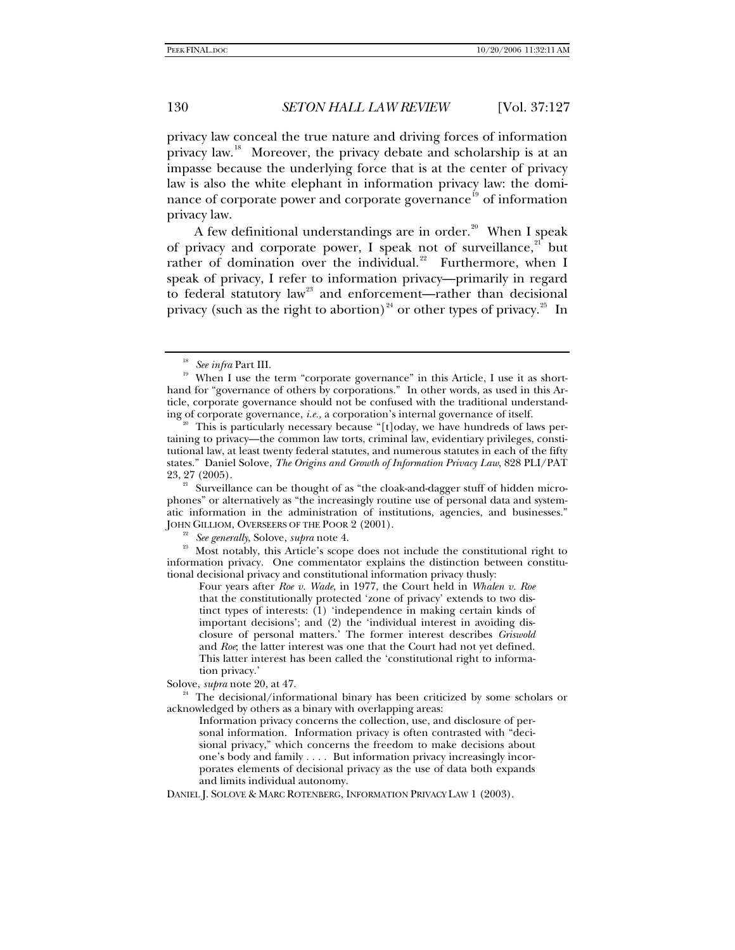privacy law conceal the true nature and driving forces of information privacy law.<sup>[18](#page-3-0)</sup> Moreover, the privacy debate and scholarship is at an impasse because the underlying force that is at the center of privacy law is also the white elephant in information privacy law: the domi-nance of corporate power and corporate governance<sup>[19](#page-3-1)</sup> of information privacy law.

A few definitional understandings are in order.<sup>[20](#page-3-2)</sup> When I speak of privacy and corporate power, I speak not of surveillance, $2^1$  but rather of domination over the individual.<sup>[22](#page-3-4)</sup> Furthermore, when I speak of privacy, I refer to information privacy—primarily in regard to federal statutory law<sup>[23](#page-3-5)</sup> and enforcement—rather than decisional privacy (such as the right to abortion)<sup>[24](#page-3-6)</sup> or other types of privacy.<sup>[25](#page-3-7)</sup> In

<span id="page-3-5"></span><span id="page-3-4"></span><sup>22</sup> See generally, Solove, *supra* note 4.<br><sup>23</sup> Most notably, this Article's scope does not include the constitutional right to information privacy. One commentator explains the distinction between constitutional decisional privacy and constitutional information privacy thusly:

Four years after *Roe v. Wade*, in 1977, the Court held in *Whalen v. Roe* that the constitutionally protected 'zone of privacy' extends to two distinct types of interests: (1) 'independence in making certain kinds of important decisions'; and (2) the 'individual interest in avoiding disclosure of personal matters.' The former interest describes *Griswold* and *Roe*; the latter interest was one that the Court had not yet defined. This latter interest has been called the 'constitutional right to information privacy.'

<span id="page-3-1"></span><span id="page-3-0"></span><sup>&</sup>lt;sup>18</sup> See infra Part III.<br><sup>19</sup> When I use the term "corporate governance" in this Article, I use it as shorthand for "governance of others by corporations." In other words, as used in this Article, corporate governance should not be confused with the traditional understanding of corporate governance, *i.e.*, a corporation's internal governance of itself.

<span id="page-3-2"></span><sup>&</sup>lt;sup>20</sup> This is particularly necessary because "[t]oday, we have hundreds of laws pertaining to privacy—the common law torts, criminal law, evidentiary privileges, constitutional law, at least twenty federal statutes, and numerous statutes in each of the fifty states." Daniel Solove, *The Origins and Growth of Information Privacy Law*, 828 PLI/PAT

<span id="page-3-3"></span> $21$  Surveillance can be thought of as "the cloak-and-dagger stuff of hidden microphones" or alternatively as "the increasingly routine use of personal data and systematic information in the administration of institutions, agencies, and businesses."

<span id="page-3-7"></span><span id="page-3-6"></span>Solove, *supra* note 20, at 47.<br><sup>24</sup> The decisional/informational binary has been criticized by some scholars or acknowledged by others as a binary with overlapping areas:

Information privacy concerns the collection, use, and disclosure of personal information. Information privacy is often contrasted with "decisional privacy," which concerns the freedom to make decisions about one's body and family . . . . But information privacy increasingly incorporates elements of decisional privacy as the use of data both expands and limits individual autonomy.

DANIEL J. SOLOVE & MARC ROTENBERG, INFORMATION PRIVACY LAW 1 (2003).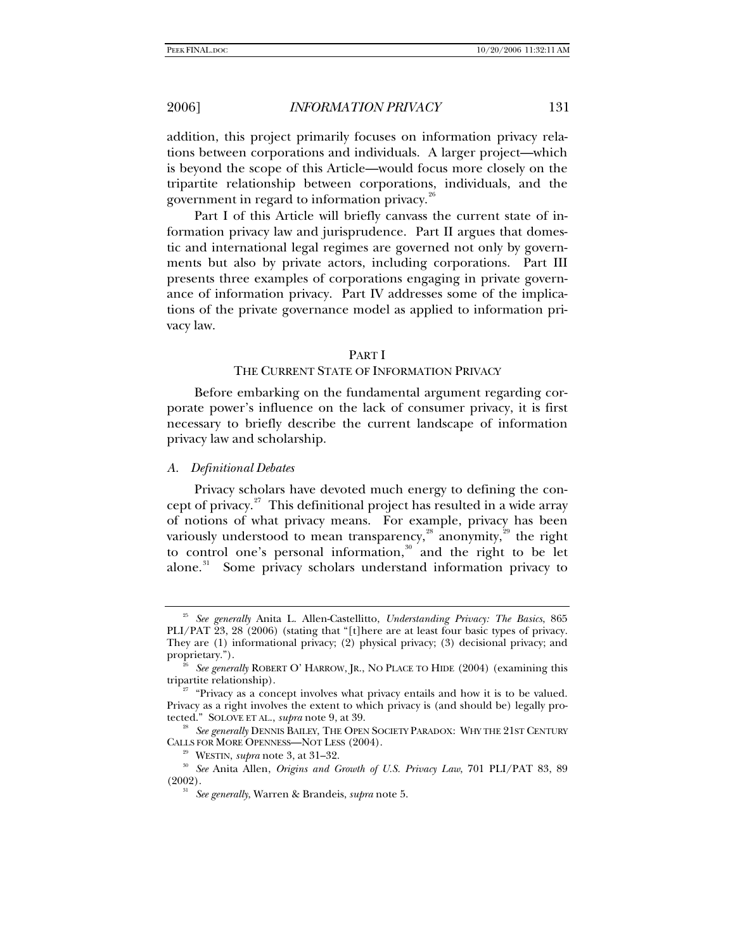addition, this project primarily focuses on information privacy relations between corporations and individuals. A larger project—which is beyond the scope of this Article—would focus more closely on the tripartite relationship between corporations, individuals, and the government in regard to information privacy.<sup>[26](#page-4-0)</sup>

Part I of this Article will briefly canvass the current state of information privacy law and jurisprudence. Part II argues that domestic and international legal regimes are governed not only by governments but also by private actors, including corporations. Part III presents three examples of corporations engaging in private governance of information privacy. Part IV addresses some of the implications of the private governance model as applied to information privacy law.

## PART I

# THE CURRENT STATE OF INFORMATION PRIVACY

Before embarking on the fundamental argument regarding corporate power's influence on the lack of consumer privacy, it is first necessary to briefly describe the current landscape of information privacy law and scholarship.

### *A. Definitional Debates*

Privacy scholars have devoted much energy to defining the con-cept of privacy.<sup>[27](#page-4-1)</sup> This definitional project has resulted in a wide array of notions of what privacy means. For example, privacy has been variously understood to mean transparency,<sup>[28](#page-4-2)</sup> anonymity,<sup>[29](#page-4-3)</sup> the right to control one's personal information, $30$  and the right to be let alone.<sup>[31](#page-4-5)</sup> Some privacy scholars understand information privacy to

<sup>25</sup> *See generally* Anita L. Allen-Castellitto, *Understanding Privacy: The Basics*, 865 PLI/PAT 23, 28 (2006) (stating that "[t]here are at least four basic types of privacy. They are (1) informational privacy; (2) physical privacy; (3) decisional privacy; and

<span id="page-4-0"></span>proprietary.").<br><sup>26</sup> See generally ROBERT O' HARROW, JR., NO PLACE TO HIDE (2004) (examining this tripartite relationship).

<span id="page-4-1"></span> $t^{27}$  "Privacy as a concept involves what privacy entails and how it is to be valued. Privacy as a right involves the extent to which privacy is (and should be) legally pro-<br>tected." SOLOVE ET AL., *supra* note 9, at 39.

<span id="page-4-2"></span><sup>&</sup>lt;sup>28</sup> See generally DENNIS BAILEY, THE OPEN SOCIETY PARADOX: WHY THE 21ST CENTURY CALLS FOR MORE OPENNESS—NOT LESS (2004).

<span id="page-4-5"></span><span id="page-4-4"></span><span id="page-4-3"></span><sup>&</sup>lt;sup>29</sup> WESTIN, *supra* note 3, at 31–32.<br><sup>30</sup> See Anita Allen, *Origins and Growth of U.S. Privacy Law*, 701 PLI/PAT 83, 89 (2002). 31 *See generally*, Warren & Brandeis, *supra* note 5.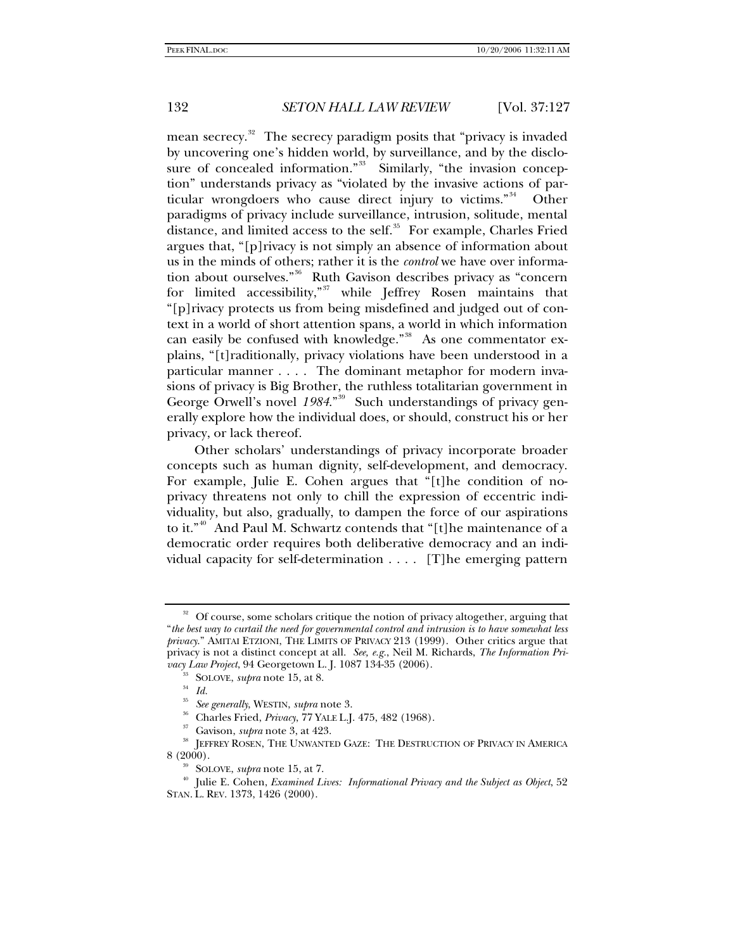mean secrecy.<sup>[32](#page-5-0)</sup> The secrecy paradigm posits that "privacy is invaded by uncovering one's hidden world, by surveillance, and by the disclo-sure of concealed information."<sup>[33](#page-5-1)</sup> Similarly, "the invasion conception" understands privacy as "violated by the invasive actions of particular wrongdoers who cause direct injury to victims."[34](#page-5-2) Other paradigms of privacy include surveillance, intrusion, solitude, mental distance, and limited access to the self.<sup>[35](#page-5-3)</sup> For example, Charles Fried argues that, "[p]rivacy is not simply an absence of information about us in the minds of others; rather it is the *control* we have over information about ourselves."[36](#page-5-4) Ruth Gavison describes privacy as "concern for limited accessibility,"<sup>[37](#page-5-5)</sup> while Jeffrey Rosen maintains that "[p]rivacy protects us from being misdefined and judged out of context in a world of short attention spans, a world in which information can easily be confused with knowledge."<sup>[38](#page-5-6)</sup> As one commentator explains, "[t]raditionally, privacy violations have been understood in a particular manner . . . . The dominant metaphor for modern invasions of privacy is Big Brother, the ruthless totalitarian government in George Orwell's novel 1984.<sup>"[39](#page-5-7)</sup> Such understandings of privacy generally explore how the individual does, or should, construct his or her privacy, or lack thereof.

Other scholars' understandings of privacy incorporate broader concepts such as human dignity, self-development, and democracy. For example, Julie E. Cohen argues that "[t]he condition of noprivacy threatens not only to chill the expression of eccentric individuality, but also, gradually, to dampen the force of our aspirations to it."<sup>[40](#page-5-8)</sup> And Paul M. Schwartz contends that "[t]he maintenance of a democratic order requires both deliberative democracy and an individual capacity for self-determination . . . . [T]he emerging pattern

<span id="page-5-0"></span> $32$  Of course, some scholars critique the notion of privacy altogether, arguing that "*the best way to curtail the need for governmental control and intrusion is to have somewhat less privacy*." AMITAI ETZIONI, THE LIMITS OF PRIVACY 213 (1999). Other critics argue that privacy is not a distinct concept at all. *See, e.g.*, Neil M. Richards, *The Information Privacy Law Project*, 94 Georgetown L. J. 1087 134-35 (2006).<br><sup>33</sup> SOLOVE, *supra* note 15, at 8.<br><sup>34</sup> Id.<br><sup>35</sup> Secondary<sup>1</sup> WestPi, whereases<sup>9</sup>

<span id="page-5-5"></span><span id="page-5-4"></span><span id="page-5-3"></span><span id="page-5-2"></span><span id="page-5-1"></span><sup>&</sup>lt;sup>35</sup> *See generally*, WESTIN, *supra* note 3.<br><sup>36</sup> Charles Fried, *Privacy*, 77 YALE L.J. 475, 482 (1968).<br><sup>37</sup> Gavison, *supra* note 3, at 423.<br><sup>38</sup> JEFFREY ROSEN, THE UNWANTED GAZE: THE DESTRUCTION OF PRIVACY IN AMERICA

<span id="page-5-8"></span><span id="page-5-7"></span><span id="page-5-6"></span><sup>&</sup>lt;sup>39</sup> SOLOVE, *supra* note 15, at 7.<br><sup>40</sup> Julie E. Cohen, *Examined Lives: Informational Privacy and the Subject as Object*, 52 STAN. L. REV. 1373, 1426 (2000).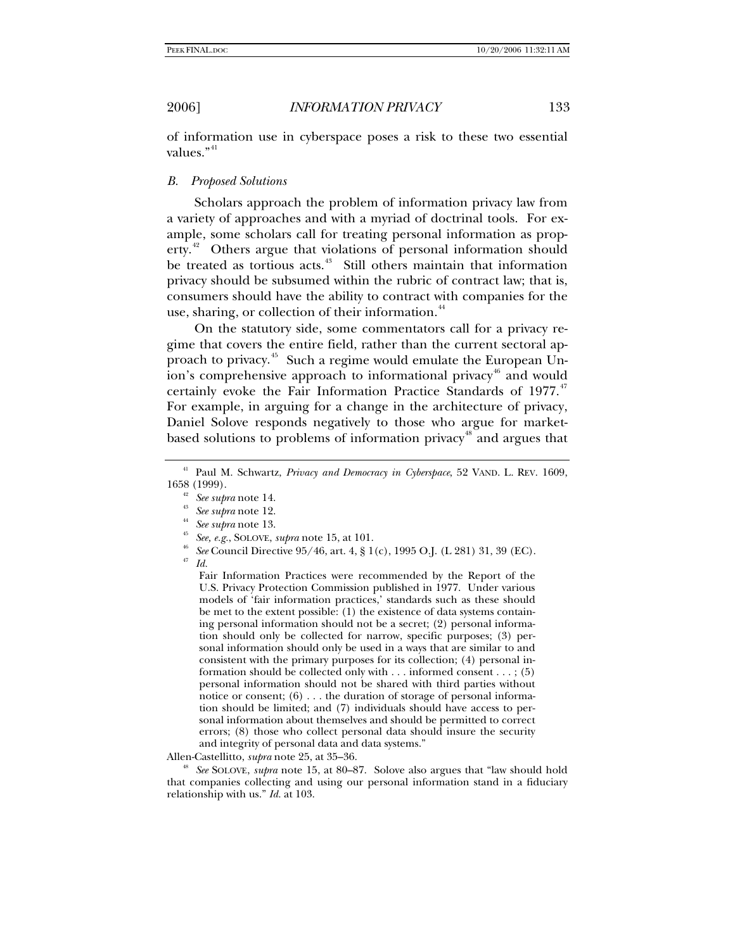of information use in cyberspace poses a risk to these two essential values."<sup>[41](#page-6-0)</sup>

# *B. Proposed Solutions*

Scholars approach the problem of information privacy law from a variety of approaches and with a myriad of doctrinal tools. For example, some scholars call for treating personal information as prop-erty.<sup>[42](#page-6-1)</sup> Others argue that violations of personal information should be treated as tortious acts.<sup>[43](#page-6-2)</sup> Still others maintain that information privacy should be subsumed within the rubric of contract law; that is, consumers should have the ability to contract with companies for the use, sharing, or collection of their information.<sup>[44](#page-6-3)</sup>

On the statutory side, some commentators call for a privacy regime that covers the entire field, rather than the current sectoral approach to privacy.[45](#page-6-4) Such a regime would emulate the European Un-ion's comprehensive approach to informational privacy<sup>[46](#page-6-5)</sup> and would certainly evoke the Fair Information Practice Standards of 1977.<sup>[47](#page-6-6)</sup> For example, in arguing for a change in the architecture of privacy, Daniel Solove responds negatively to those who argue for market-based solutions to problems of information privacy<sup>[48](#page-6-7)</sup> and argues that

- <span id="page-6-6"></span>
- <span id="page-6-5"></span><span id="page-6-4"></span><span id="page-6-3"></span><span id="page-6-2"></span><span id="page-6-1"></span><span id="page-6-0"></span>1658 (1999).<br>
<sup>42</sup> See supra note 14.<br>
<sup>43</sup> See supra note 12.<br>
<sup>44</sup> See supra note 13.<br>
<sup>45</sup> See, e.g., SOLOVE, *supra* note 15, at 101.<br>
<sup>46</sup> See Council Directive 95/46, art. 4, § 1(c), 1995 O.J. (L 281) 31, 39 (EC).<br>

Fair Information Practices were recommended by the Report of the U.S. Privacy Protection Commission published in 1977. Under various models of 'fair information practices,' standards such as these should be met to the extent possible: (1) the existence of data systems containing personal information should not be a secret; (2) personal information should only be collected for narrow, specific purposes; (3) personal information should only be used in a ways that are similar to and consistent with the primary purposes for its collection; (4) personal information should be collected only with . . . informed consent . . . ; (5) personal information should not be shared with third parties without notice or consent;  $(6)$ ... the duration of storage of personal information should be limited; and (7) individuals should have access to personal information about themselves and should be permitted to correct errors; (8) those who collect personal data should insure the security and integrity of personal data and data systems."

<span id="page-6-7"></span>Allen-Castellitto, *supra* note 25, at 35–36.<br><sup>48</sup> *See* SOLOVE, *supra* note 15, at 80–87. Solove also argues that "law should hold that companies collecting and using our personal information stand in a fiduciary relationship with us." *Id.* at 103.

<sup>41</sup> Paul M. Schwartz, *Privacy and Democracy in Cyberspace*, 52 VAND. L. REV. 1609,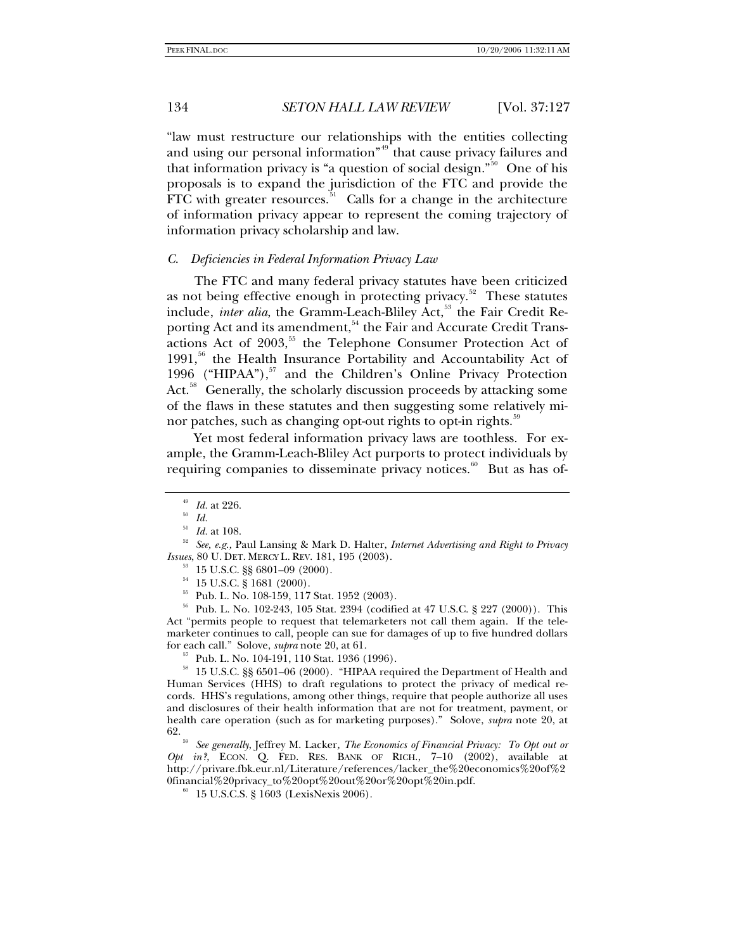"law must restructure our relationships with the entities collecting and using our personal information"<sup>[49](#page-7-0)</sup> that cause privacy failures and that information privacy is "a question of social design."<sup>[50](#page-7-1)</sup> One of his proposals is to expand the jurisdiction of the FTC and provide the FTC with greater resources. $51$  Calls for a change in the architecture of information privacy appear to represent the coming trajectory of information privacy scholarship and law.

### *C. Deficiencies in Federal Information Privacy Law*

The FTC and many federal privacy statutes have been criticized as not being effective enough in protecting privacy.<sup>[52](#page-7-3)</sup> These statutes include, *inter alia*, the Gramm-Leach-Bliley Act,<sup>[53](#page-7-4)</sup> the Fair Credit Re-porting Act and its amendment,<sup>[54](#page-7-5)</sup> the Fair and Accurate Credit Trans-actions Act of 2003,<sup>[55](#page-7-6)</sup> the Telephone Consumer Protection Act of 1991,<sup>[56](#page-7-7)</sup> the Health Insurance Portability and Accountability Act of 1996 ("HIPAA"), $57$  and the Children's Online Privacy Protection Act.<sup>[58](#page-7-9)</sup> Generally, the scholarly discussion proceeds by attacking some of the flaws in these statutes and then suggesting some relatively mi-nor patches, such as changing opt-out rights to opt-in rights.<sup>[59](#page-7-10)</sup>

Yet most federal information privacy laws are toothless. For example, the Gramm-Leach-Bliley Act purports to protect individuals by requiring companies to disseminate privacy notices. $60$  But as has of-

<span id="page-7-7"></span><span id="page-7-6"></span><span id="page-7-5"></span>56 Pub. L. No. 102-243, 105 Stat. 2394 (codified at 47 U.S.C. § 227 (2000)). This Act "permits people to request that telemarketers not call them again. If the telemarketer continues to call, people can sue for damages of up to five hundred dollars for each call." Solove, *supra* note 20, at 61.

<sup>57</sup> Pub. L. No. 104-191, 110 Stat. 1936 (1996).

<span id="page-7-9"></span><span id="page-7-8"></span> $^{\rm 58}$  15 U.S.C. §§ 6501–06 (2000). "HIPAA required the Department of Health and Human Services (HHS) to draft regulations to protect the privacy of medical records. HHS's regulations, among other things, require that people authorize all uses and disclosures of their health information that are not for treatment, payment, or health care operation (such as for marketing purposes)." Solove, *supra* note 20, at 62. 59 *See generally*, Jeffrey M. Lacker*, The Economics of Financial Privacy: To Opt out or* 

<span id="page-7-11"></span><span id="page-7-10"></span>*Opt in?*, ECON. Q. FED. RES. BANK OF RICH., 7–10 (2002), available at http://privare.fbk.eur.nl/Literature/references/lacker\_the%20economics%20of%2 0financial%20privacy\_to%20opt%20out%20or%20opt%20in.pdf.  $^{60}$  15 U.S.C.S. § 1603 (LexisNexis 2006).

<sup>&</sup>lt;sup>49</sup> *Id.* at 226.<br><sup>50</sup> *Id.*<br><sup>51</sup> *Id.* at 108.

<span id="page-7-4"></span><span id="page-7-3"></span><span id="page-7-2"></span><span id="page-7-1"></span><span id="page-7-0"></span><sup>&</sup>lt;sup>52</sup> See, e.g., Paul Lansing & Mark D. Halter, *Internet Advertising and Right to Privacy Issues*, 80 U. DET. MERCY L. REV. 181, 195 (2003).<br><sup>53</sup> 15 U.S.C. §§ 6801–09 (2000).

 $^{54}~$  15 U.S.C. § 1681 (2000).

<sup>55</sup> Pub. L. No. 108-159, 117 Stat. 1952 (2003).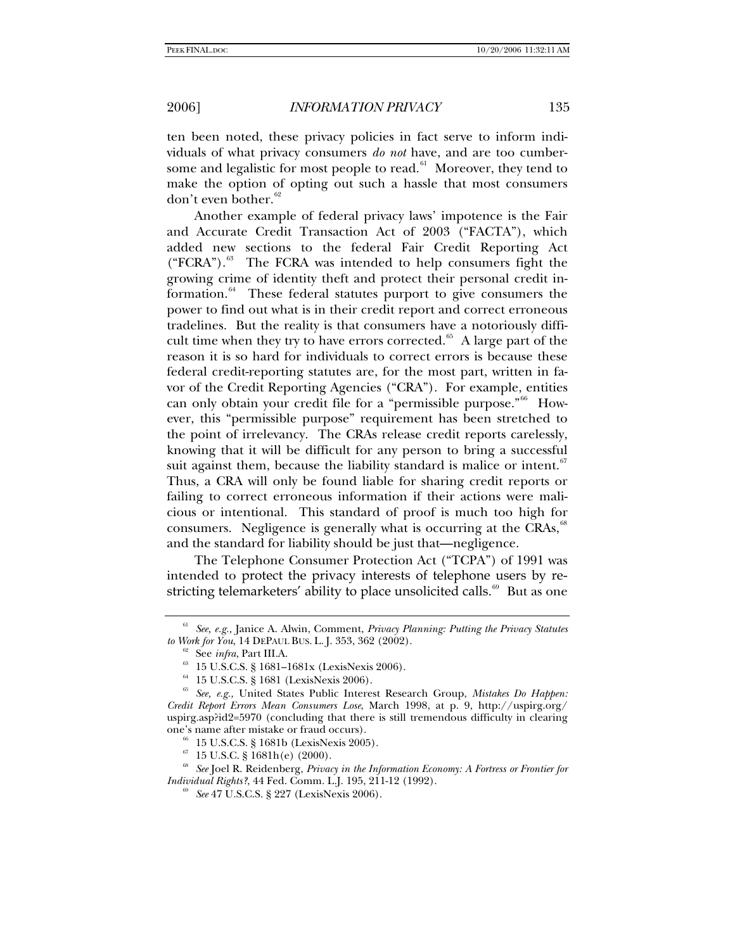ten been noted, these privacy policies in fact serve to inform individuals of what privacy consumers *do not* have, and are too cumbersome and legalistic for most people to read. $61$  Moreover, they tend to make the option of opting out such a hassle that most consumers don't even bother.<sup>[62](#page-8-1)</sup>

Another example of federal privacy laws' impotence is the Fair and Accurate Credit Transaction Act of 2003 ("FACTA"), which added new sections to the federal Fair Credit Reporting Act  $("FCRA").<sup>63</sup>$  $("FCRA").<sup>63</sup>$  $("FCRA").<sup>63</sup>$  The FCRA was intended to help consumers fight the growing crime of identity theft and protect their personal credit in-formation.<sup>[64](#page-8-3)</sup> These federal statutes purport to give consumers the power to find out what is in their credit report and correct erroneous tradelines. But the reality is that consumers have a notoriously difficult time when they try to have errors corrected. $65$  A large part of the reason it is so hard for individuals to correct errors is because these federal credit-reporting statutes are, for the most part, written in favor of the Credit Reporting Agencies ("CRA"). For example, entities can only obtain your credit file for a "permissible purpose."<sup>[66](#page-8-5)</sup> However, this "permissible purpose" requirement has been stretched to the point of irrelevancy. The CRAs release credit reports carelessly, knowing that it will be difficult for any person to bring a successful suit against them, because the liability standard is malice or intent. $67$ Thus, a CRA will only be found liable for sharing credit reports or failing to correct erroneous information if their actions were malicious or intentional. This standard of proof is much too high for consumers. Negligence is generally what is occurring at the CRAs, $\frac{68}{5}$  $\frac{68}{5}$  $\frac{68}{5}$ and the standard for liability should be just that—negligence.

The Telephone Consumer Protection Act ("TCPA") of 1991 was intended to protect the privacy interests of telephone users by re-stricting telemarketers' ability to place unsolicited calls.<sup>[69](#page-8-8)</sup> But as one

<span id="page-8-1"></span><span id="page-8-0"></span><sup>&</sup>lt;sup>61</sup> See, e.g., Janice A. Alwin, Comment, *Privacy Planning: Putting the Privacy Statutes to Work for You*, 14 DEPAUL BUS. L. J. 353, 362 (2002).

<sup>&</sup>lt;sup>62</sup> See *infra*, Part III.A.<br><sup>63</sup> 15 U.S.C.S. § 1681–1681x (LexisNexis 2006).

 $^{64}$  15 U.S.C.S. § 1681 (LexisNexis 2006).

<span id="page-8-4"></span><span id="page-8-3"></span><span id="page-8-2"></span><sup>65</sup> *See, e.g.,* United States Public Interest Research Group, *Mistakes Do Happen: Credit Report Errors Mean Consumers Lose*, March 1998, at p. 9, http://uspirg.org/ uspirg.asp?id2=5970 (concluding that there is still tremendous difficulty in clearing one's name after mistake or fraud occurs). 66 15 U.S.C.S. § 1681b (LexisNexis 2005).

 $67$  15 U.S.C. § 1681h(e) (2000).

<span id="page-8-8"></span><span id="page-8-7"></span><span id="page-8-6"></span><span id="page-8-5"></span><sup>68</sup> *See* Joel R. Reidenberg, *Privacy in the Information Economy: A Fortress or Frontier for Individual Rights?*, 44 Fed. Comm. L.J. 195, 211-12 (1992).<br><sup>69</sup> *See* 47 U.S.C.S. § 227 (LexisNexis 2006).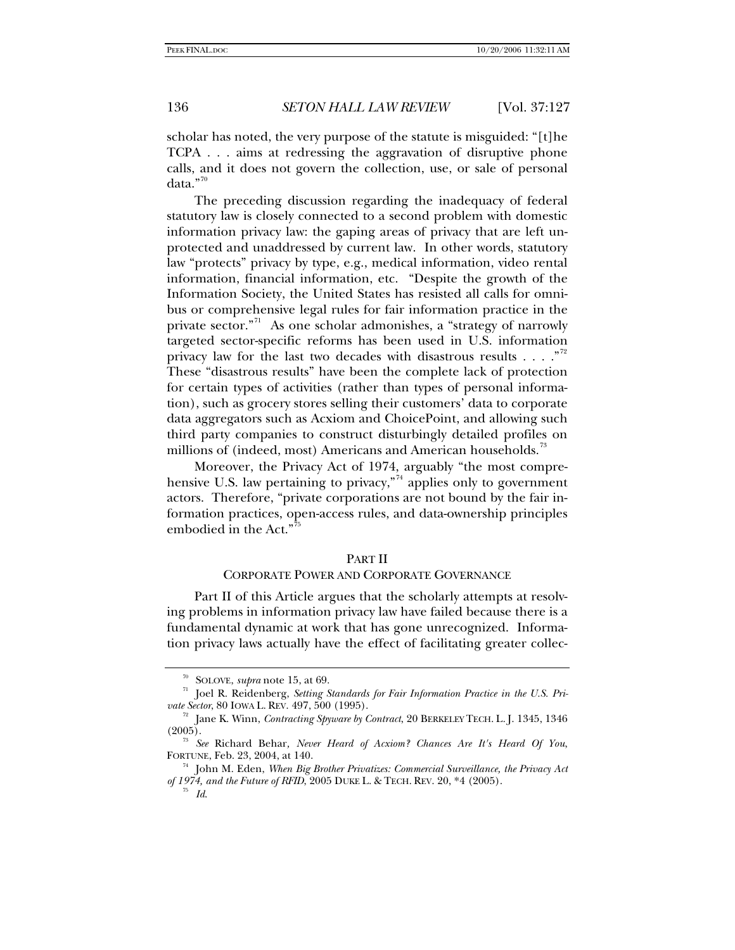scholar has noted, the very purpose of the statute is misguided: "[t]he TCPA . . . aims at redressing the aggravation of disruptive phone calls, and it does not govern the collection, use, or sale of personal data."<sup>[70](#page-9-0)</sup>

The preceding discussion regarding the inadequacy of federal statutory law is closely connected to a second problem with domestic information privacy law: the gaping areas of privacy that are left unprotected and unaddressed by current law. In other words, statutory law "protects" privacy by type, e.g., medical information, video rental information, financial information, etc. "Despite the growth of the Information Society, the United States has resisted all calls for omnibus or comprehensive legal rules for fair information practice in the private sector."<sup>[71](#page-9-1)</sup> As one scholar admonishes, a "strategy of narrowly targeted sector-specific reforms has been used in U.S. information privacy law for the last two decades with disastrous results . . . . "<sup>[72](#page-9-2)</sup> These "disastrous results" have been the complete lack of protection for certain types of activities (rather than types of personal information), such as grocery stores selling their customers' data to corporate data aggregators such as Acxiom and ChoicePoint, and allowing such third party companies to construct disturbingly detailed profiles on millions of (indeed, most) Americans and American households.<sup>[73](#page-9-3)</sup>

Moreover, the Privacy Act of 1974, arguably "the most comprehensive U.S. law pertaining to privacy,"<sup> $4$ </sup> applies only to government actors. Therefore, "private corporations are not bound by the fair information practices, open-access rules, and data-ownership principles embodied in the Act."<sup>7</sup>

### PART II

### CORPORATE POWER AND CORPORATE GOVERNANCE

Part II of this Article argues that the scholarly attempts at resolving problems in information privacy law have failed because there is a fundamental dynamic at work that has gone unrecognized. Information privacy laws actually have the effect of facilitating greater collec-

<span id="page-9-1"></span><span id="page-9-0"></span><sup>&</sup>lt;sup>70</sup> SOLOVE, *supra* note 15, at 69.<br><sup>71</sup> Joel R. Reidenberg, *Setting Standards for Fair Information Practice in the U.S. Pri-*<br>*vate Sector*, 80 IOWA L. REV. 497, 500 (1995).

<span id="page-9-2"></span><sup>&</sup>lt;sup>72</sup> Jane K. Winn, *Contracting Spyware by Contract*, 20 BERKELEY TECH. L. J. 1345, 1346 (2005).

<span id="page-9-3"></span><sup>(2005). 73</sup> *See* Richard Behar*, Never Heard of Acxiom? Chances Are It's Heard Of You*, FORTUNE, Feb. 23, 2004, at 140. 74 John M. Eden, *When Big Brother Privatizes: Commercial Surveillance, the Privacy Act* 

<span id="page-9-5"></span><span id="page-9-4"></span>*of 1974, and the Future of RFID*, 2005 DUKE L. & TECH. REV. 20, \*4 (2005). 75 *Id*.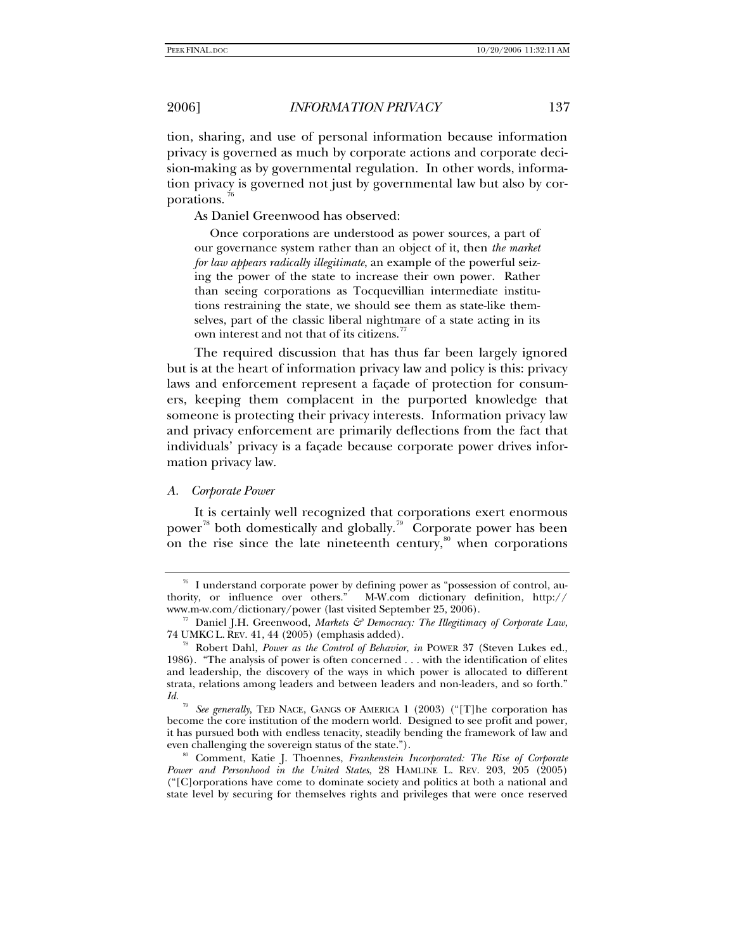tion, sharing, and use of personal information because information privacy is governed as much by corporate actions and corporate decision-making as by governmental regulation. In other words, information privacy is governed not just by governmental law but also by corporations.

As Daniel Greenwood has observed:

 Once corporations are understood as power sources, a part of our governance system rather than an object of it, then *the market for law appears radically illegitimate*, an example of the powerful seizing the power of the state to increase their own power. Rather than seeing corporations as Tocquevillian intermediate institutions restraining the state, we should see them as state-like themselves, part of the classic liberal nightmare of a state acting in its own interest and not that of its citizens.<sup>[77](#page-10-1)</sup>

The required discussion that has thus far been largely ignored but is at the heart of information privacy law and policy is this: privacy laws and enforcement represent a façade of protection for consumers, keeping them complacent in the purported knowledge that someone is protecting their privacy interests. Information privacy law and privacy enforcement are primarily deflections from the fact that individuals' privacy is a façade because corporate power drives information privacy law.

## *A. Corporate Power*

It is certainly well recognized that corporations exert enormous power<sup>[78](#page-10-2)</sup> both domestically and globally.<sup>[79](#page-10-3)</sup> Corporate power has been on the rise since the late nineteenth century, $\frac{80}{30}$  $\frac{80}{30}$  $\frac{80}{30}$  when corporations

<span id="page-10-0"></span><sup>&</sup>lt;sup>76</sup> I understand corporate power by defining power as "possession of control, authority, or influence over others." M-W.com dictionary definition, http://

<span id="page-10-1"></span>www.m-w.com/dictionary/power (last visited September 25, 2006).<br><sup>77</sup> Daniel J.H. Greenwood, *Markets & Democracy: The Illegitimacy of Corporate Law*,<br>74 UMKC L. REV. 41, 44 (2005) (emphasis added).

<span id="page-10-2"></span><sup>&</sup>lt;sup>8</sup> Robert Dahl, *Power as the Control of Behavior*, *in* POWER 37 (Steven Lukes ed., 1986). "The analysis of power is often concerned . . . with the identification of elites and leadership, the discovery of the ways in which power is allocated to different strata, relations among leaders and between leaders and non-leaders, and so forth." *Id.*

<span id="page-10-3"></span>*See generally*, TED NACE, GANGS OF AMERICA 1 (2003) ("[T]he corporation has become the core institution of the modern world. Designed to see profit and power, it has pursued both with endless tenacity, steadily bending the framework of law and even challenging the sovereign status of the state.").

<span id="page-10-4"></span><sup>&</sup>lt;sup>80</sup> Comment, Katie J. Thoennes, *Frankenstein Incorporated: The Rise of Corporate Power and Personhood in the United States*, 28 HAMLINE L. REV. 203, 205 (2005) ("[C]orporations have come to dominate society and politics at both a national and state level by securing for themselves rights and privileges that were once reserved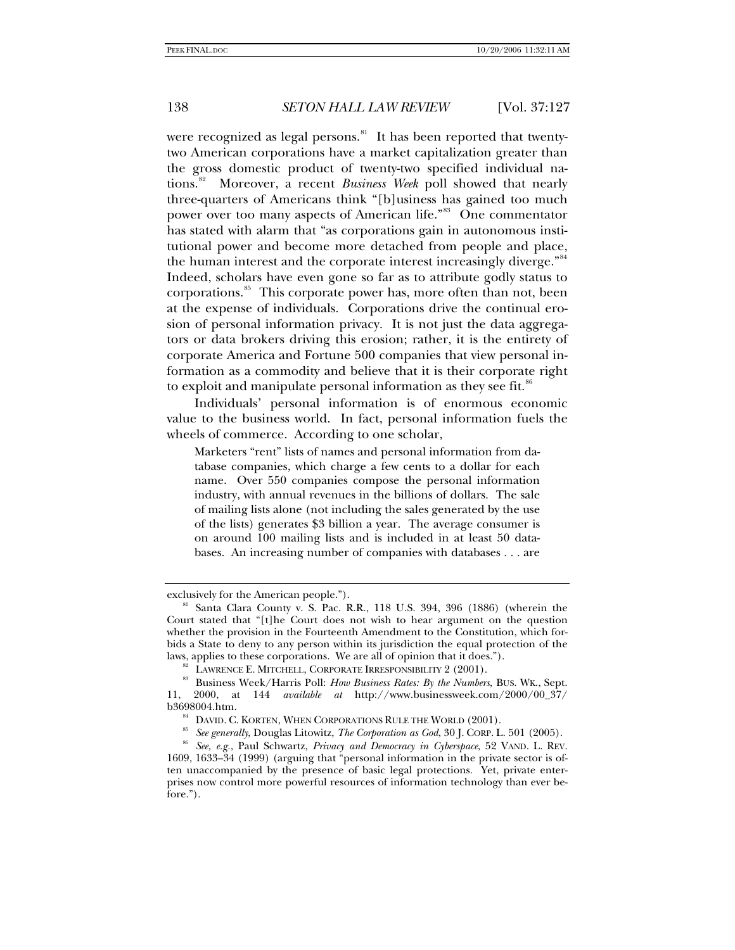were recognized as legal persons.<sup>[81](#page-11-0)</sup> It has been reported that twentytwo American corporations have a market capitalization greater than the gross domestic product of twenty-two specified individual nations.[82](#page-11-1) Moreover, a recent *Business Week* poll showed that nearly three-quarters of Americans think "[b]usiness has gained too much power over too many aspects of American life."<sup>[83](#page-11-2)</sup> One commentator has stated with alarm that "as corporations gain in autonomous institutional power and become more detached from people and place, the human interest and the corporate interest increasingly diverge."<sup>[84](#page-11-3)</sup> Indeed, scholars have even gone so far as to attribute godly status to corporations.<sup>[85](#page-11-4)</sup> This corporate power has, more often than not, been at the expense of individuals. Corporations drive the continual erosion of personal information privacy. It is not just the data aggregators or data brokers driving this erosion; rather, it is the entirety of corporate America and Fortune 500 companies that view personal information as a commodity and believe that it is their corporate right to exploit and manipulate personal information as they see fit.<sup>[86](#page-11-5)</sup>

Individuals' personal information is of enormous economic value to the business world. In fact, personal information fuels the wheels of commerce. According to one scholar,

Marketers "rent" lists of names and personal information from database companies, which charge a few cents to a dollar for each name. Over 550 companies compose the personal information industry, with annual revenues in the billions of dollars. The sale of mailing lists alone (not including the sales generated by the use of the lists) generates \$3 billion a year. The average consumer is on around 100 mailing lists and is included in at least 50 databases. An increasing number of companies with databases . . . are

<span id="page-11-0"></span>exclusively for the American people."). 81 Santa Clara County v. S. Pac. R.R., 118 U.S. 394, 396 (1886) (wherein the Court stated that "[t]he Court does not wish to hear argument on the question whether the provision in the Fourteenth Amendment to the Constitution, which forbids a State to deny to any person within its jurisdiction the equal protection of the laws, applies to these corporations. We are all of opinion that it does.").

<span id="page-11-2"></span><span id="page-11-1"></span><sup>&</sup>lt;sup>82</sup> LAWRENCE E. MITCHELL, CORPORATE IRRESPONSIBILITY 2 (2001).<br><sup>83</sup> Business Week/Harris Poll: *How Business Rates: By the Numbers*, BUS. WK., Sept. 11, 2000, at 144 *available at* http://www.businessweek.com/2000/00\_37/ b3698004.htm.<br><sup>84</sup> DAVID. C. KORTEN, WHEN CORPORATIONS RULE THE WORLD (2001).

<span id="page-11-5"></span><span id="page-11-4"></span><span id="page-11-3"></span><sup>&</sup>lt;sup>85</sup> See generally, Douglas Litowitz, *The Corporation as God*, 30 J. CORP. L. 501 (2005).<br><sup>86</sup> See, e.g., Paul Schwartz, *Privacy and Democracy in Cyberspace*, 52 VAND. L. REV. 1609, 1633–34 (1999) (arguing that "personal information in the private sector is often unaccompanied by the presence of basic legal protections. Yet, private enterprises now control more powerful resources of information technology than ever before.").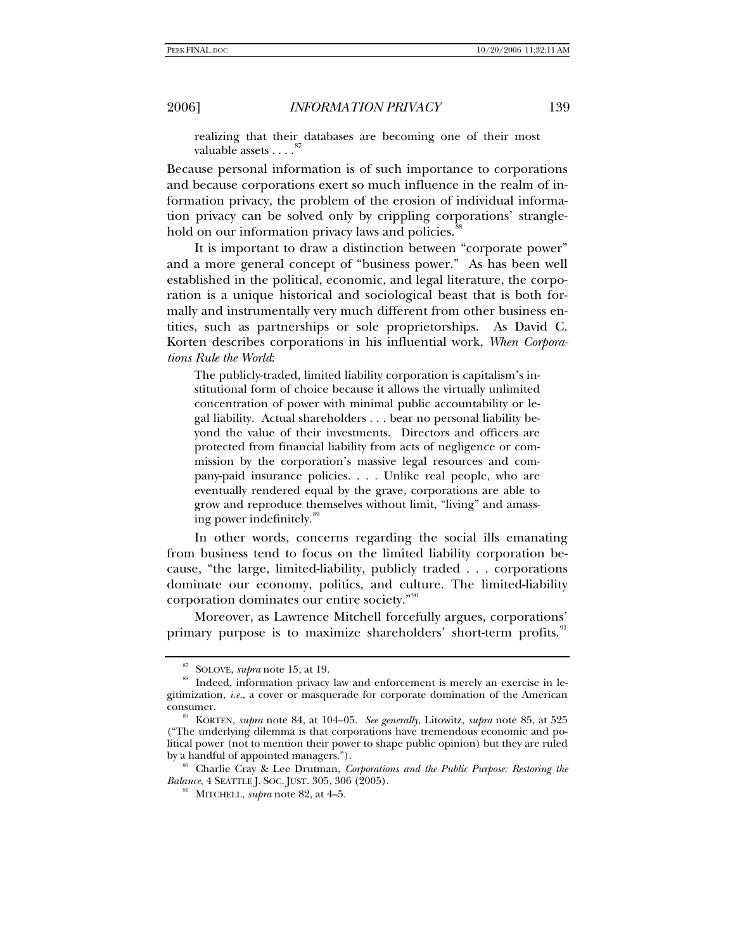realizing that their databases are becoming one of their most valuable assets . . . .<sup>8</sup>

Because personal information is of such importance to corporations and because corporations exert so much influence in the realm of information privacy, the problem of the erosion of individual information privacy can be solved only by crippling corporations' strangle-hold on our information privacy laws and policies.<sup>[88](#page-12-1)</sup>

It is important to draw a distinction between "corporate power" and a more general concept of "business power." As has been well established in the political, economic, and legal literature, the corporation is a unique historical and sociological beast that is both formally and instrumentally very much different from other business entities, such as partnerships or sole proprietorships. As David C. Korten describes corporations in his influential work, *When Corporations Rule the World*:

The publicly-traded, limited liability corporation is capitalism's institutional form of choice because it allows the virtually unlimited concentration of power with minimal public accountability or legal liability. Actual shareholders . . . bear no personal liability beyond the value of their investments. Directors and officers are protected from financial liability from acts of negligence or commission by the corporation's massive legal resources and company-paid insurance policies. . . . Unlike real people, who are eventually rendered equal by the grave, corporations are able to grow and reproduce themselves without limit, "living" and amass-ing power indefinitely.<sup>[89](#page-12-2)</sup>

In other words, concerns regarding the social ills emanating from business tend to focus on the limited liability corporation because, "the large, limited-liability, publicly traded . . . corporations dominate our economy, politics, and culture. The limited-liability corporation dominates our entire society."[90](#page-12-3)

Moreover, as Lawrence Mitchell forcefully argues, corporations' primary purpose is to maximize shareholders' short-term profits.

<span id="page-12-1"></span><span id="page-12-0"></span><sup>&</sup>lt;sup>87</sup> SOLOVE, *supra* note 15, at 19. 88 Indeed, information privacy law and enforcement is merely an exercise in legitimization, *i.e.*, a cover or masquerade for corporate domination of the American consumer. 89 KORTEN, *supra* note 84, at 104–05. *See generally*, Litowitz, *supra* note 85, at 525

<span id="page-12-2"></span><sup>(&</sup>quot;The underlying dilemma is that corporations have tremendous economic and political power (not to mention their power to shape public opinion) but they are ruled by a handful of appointed managers.").<br><sup>90</sup> Charlie Cray & Lee Drutman, *Corporations and the Public Purpose: Restoring the* 

<span id="page-12-4"></span><span id="page-12-3"></span>*Balance*, 4 SEATTLE J. SOC. JUST. 305, 306 (2005). 91 MITCHELL, *supra* note 82, at 4–5.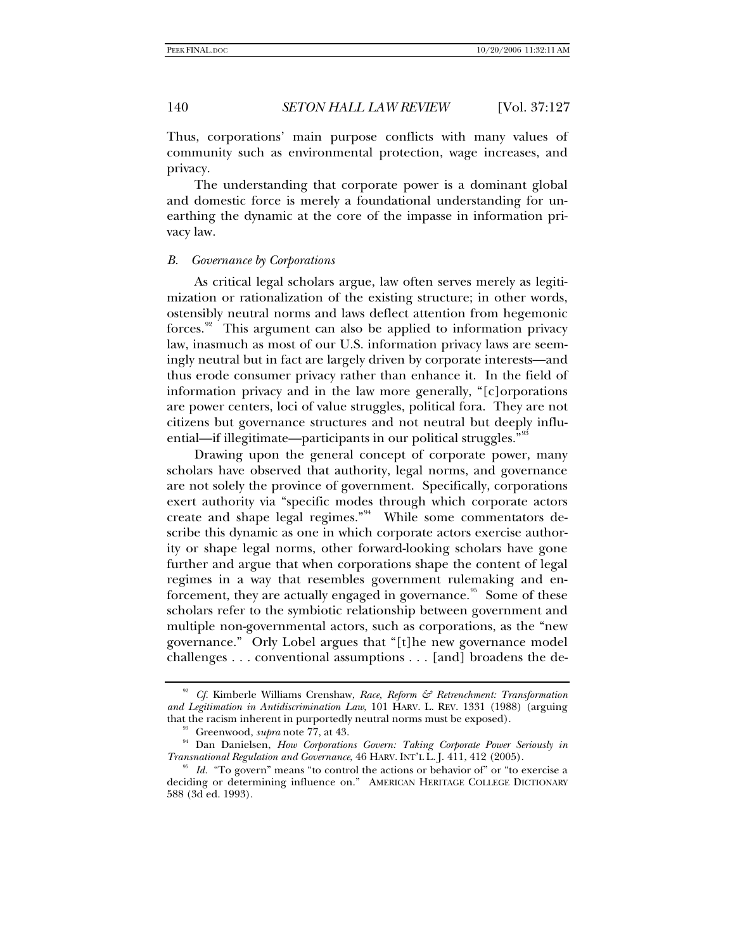Thus, corporations' main purpose conflicts with many values of community such as environmental protection, wage increases, and privacy.

The understanding that corporate power is a dominant global and domestic force is merely a foundational understanding for unearthing the dynamic at the core of the impasse in information privacy law*.* 

## *B. Governance by Corporations*

As critical legal scholars argue, law often serves merely as legitimization or rationalization of the existing structure; in other words, ostensibly neutral norms and laws deflect attention from hegemonic forces. $92$  This argument can also be applied to information privacy law, inasmuch as most of our U.S. information privacy laws are seemingly neutral but in fact are largely driven by corporate interests—and thus erode consumer privacy rather than enhance it. In the field of information privacy and in the law more generally, "[c]orporations are power centers, loci of value struggles, political fora. They are not citizens but governance structures and not neutral but deeply influ-ential—if illegitimate—participants in our political struggles."<sup>[93](#page-13-1)</sup>

Drawing upon the general concept of corporate power, many scholars have observed that authority, legal norms, and governance are not solely the province of government. Specifically, corporations exert authority via "specific modes through which corporate actors create and shape legal regimes."<sup>[94](#page-13-2)</sup> While some commentators describe this dynamic as one in which corporate actors exercise authority or shape legal norms, other forward-looking scholars have gone further and argue that when corporations shape the content of legal regimes in a way that resembles government rulemaking and en-forcement, they are actually engaged in governance.<sup>[95](#page-13-3)</sup> Some of these scholars refer to the symbiotic relationship between government and multiple non-governmental actors, such as corporations, as the "new governance." Orly Lobel argues that "[t]he new governance model challenges . . . conventional assumptions . . . [and] broadens the de-

<span id="page-13-0"></span><sup>92</sup> *Cf.* Kimberle Williams Crenshaw, *Race, Reform & Retrenchment: Transformation and Legitimation in Antidiscrimination Law*, 101 HARV. L. REV. 1331 (1988) (arguing

<span id="page-13-2"></span><span id="page-13-1"></span><sup>&</sup>lt;sup>93</sup> Greenwood, *supra* note 77, at 43.<br><sup>94</sup> Dan Danielsen, *How Corporations Govern: Taking Corporate Power Seriously in Transnational Regulation and Governance, 46 HARV. INT'L L. [. 411, 412 (2005).* 

<span id="page-13-3"></span><sup>&</sup>lt;sup>95</sup> Id. "To govern" means "to control the actions or behavior of" or "to exercise a deciding or determining influence on." AMERICAN HERITAGE COLLEGE DICTIONARY 588 (3d ed. 1993).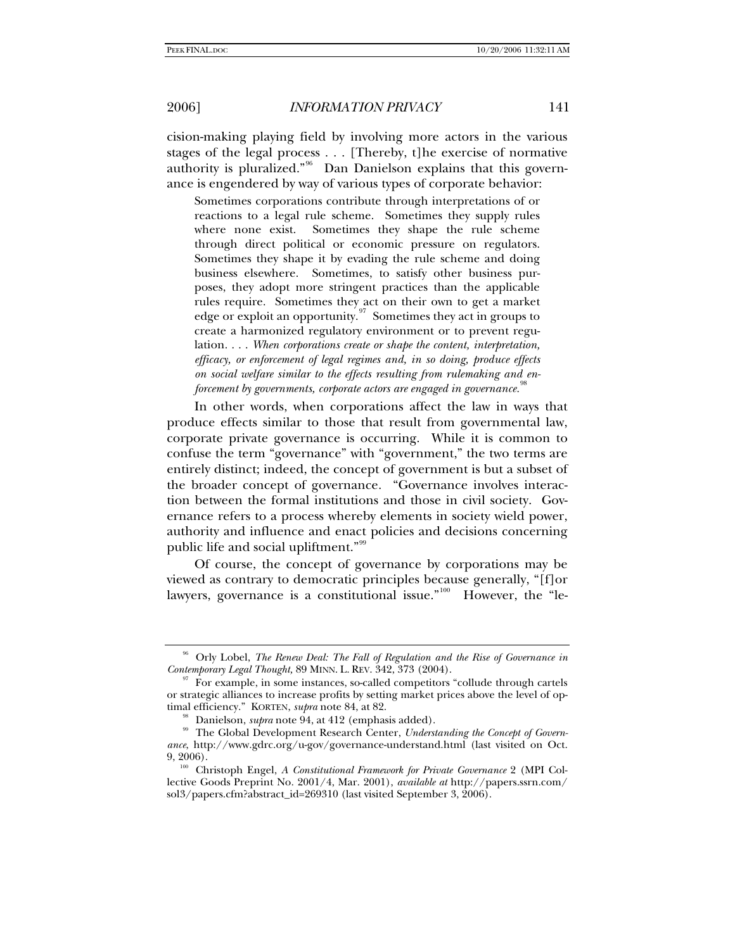cision-making playing field by involving more actors in the various stages of the legal process . . . [Thereby, t]he exercise of normative authority is pluralized."<sup>[96](#page-14-0)</sup> Dan Danielson explains that this governance is engendered by way of various types of corporate behavior:

Sometimes corporations contribute through interpretations of or reactions to a legal rule scheme. Sometimes they supply rules where none exist. Sometimes they shape the rule scheme through direct political or economic pressure on regulators. Sometimes they shape it by evading the rule scheme and doing business elsewhere. Sometimes, to satisfy other business purposes, they adopt more stringent practices than the applicable rules require. Sometimes they act on their own to get a market edge or exploit an opportunity.<sup>[97](#page-14-1)</sup> Sometimes they act in groups to create a harmonized regulatory environment or to prevent regulation. . . . *When corporations create or shape the content, interpretation, efficacy, or enforcement of legal regimes and, in so doing, produce effects on social welfare similar to the effects resulting from rulemaking and enforcement by governments, corporate actors are engaged in governance.*<sup>88</sup>

In other words, when corporations affect the law in ways that produce effects similar to those that result from governmental law, corporate private governance is occurring. While it is common to confuse the term "governance" with "government," the two terms are entirely distinct; indeed, the concept of government is but a subset of the broader concept of governance. "Governance involves interaction between the formal institutions and those in civil society. Governance refers to a process whereby elements in society wield power, authority and influence and enact policies and decisions concerning public life and social upliftment."[99](#page-14-3)

Of course, the concept of governance by corporations may be viewed as contrary to democratic principles because generally, "[f]or lawyers, governance is a constitutional issue."<sup>[100](#page-14-4)</sup> However, the "le-

<span id="page-14-0"></span><sup>&</sup>lt;sup>96</sup> Orly Lobel, *The Renew Deal: The Fall of Regulation and the Rise of Governance in Contemporary Legal Thought,* 89 MINN. L. REV. 342, 373 (2004).<br><sup>97</sup> For example, in some instances, so-called competitors "collude through cartels"

<span id="page-14-1"></span>or strategic alliances to increase profits by setting market prices above the level of optimal efficiency." KORTEN, *supra* note 84, at 82.

<span id="page-14-3"></span><span id="page-14-2"></span><sup>&</sup>lt;sup>98</sup> Danielson, *supra* note 94, at 412 (emphasis added).<br><sup>99</sup> The Global Development Research Center, *Understanding the Concept of Govern*ance, http://www.gdrc.org/u-gov/governance-understand.html (last visited on Oct. 9, 2006).

<span id="page-14-4"></span><sup>&</sup>lt;sup>100</sup> Christoph Engel, *A Constitutional Framework for Private Governance* 2 (MPI Collective Goods Preprint No. 2001/4, Mar. 2001), *available at* http://papers.ssrn.com/ sol3/papers.cfm?abstract\_id=269310 (last visited September 3, 2006).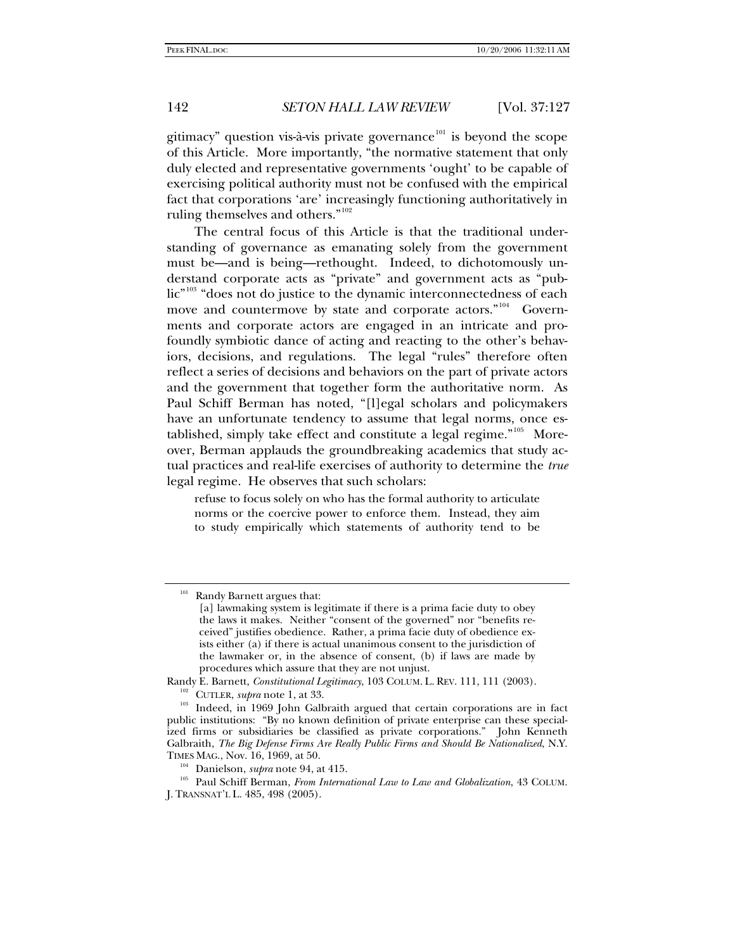gitimacy" question vis-à-vis private governance<sup>[101](#page-15-0)</sup> is beyond the scope of this Article. More importantly, "the normative statement that only duly elected and representative governments 'ought' to be capable of exercising political authority must not be confused with the empirical fact that corporations 'are' increasingly functioning authoritatively in ruling themselves and others."<sup>[102](#page-15-1)</sup>

The central focus of this Article is that the traditional understanding of governance as emanating solely from the government must be—and is being—rethought. Indeed, to dichotomously understand corporate acts as "private" and government acts as "pub-lic<sup>"[103](#page-15-2)</sup> "does not do justice to the dynamic interconnectedness of each move and countermove by state and corporate actors."<sup>[104](#page-15-3)</sup> Governments and corporate actors are engaged in an intricate and profoundly symbiotic dance of acting and reacting to the other's behaviors, decisions, and regulations. The legal "rules" therefore often reflect a series of decisions and behaviors on the part of private actors and the government that together form the authoritative norm. As Paul Schiff Berman has noted, "[l]egal scholars and policymakers have an unfortunate tendency to assume that legal norms, once es-tablished, simply take effect and constitute a legal regime."<sup>[105](#page-15-4)</sup> Moreover, Berman applauds the groundbreaking academics that study actual practices and real-life exercises of authority to determine the *true* legal regime. He observes that such scholars:

refuse to focus solely on who has the formal authority to articulate norms or the coercive power to enforce them. Instead, they aim to study empirically which statements of authority tend to be

<span id="page-15-0"></span>Randy Barnett argues that:

<sup>[</sup>a] lawmaking system is legitimate if there is a prima facie duty to obey the laws it makes. Neither "consent of the governed" nor "benefits received" justifies obedience. Rather, a prima facie duty of obedience exists either (a) if there is actual unanimous consent to the jurisdiction of the lawmaker or, in the absence of consent, (b) if laws are made by procedures which assure that they are not unjust.

<span id="page-15-1"></span>Randy E. Barnett, *Constitutional Legitimacy*, 103 COLUM. L. REV. 111, 111 (2003).<br><sup>102</sup> CUTLER, *supra* note 1, at 33. Indeed, in 1969 John Galbraith argued that certain corporations are in fact

<span id="page-15-2"></span>public institutions: "By no known definition of private enterprise can these specialized firms or subsidiaries be classified as private corporations." John Kenneth Galbraith, *The Big Defense Firms Are Really Public Firms and Should Be Nationalized*, N.Y. TIMES MAG., Nov. 16, 1969, at 50.<br><sup>104</sup> Danielson, *supra* note 94, at 415.

<span id="page-15-4"></span><span id="page-15-3"></span><sup>&</sup>lt;sup>105</sup> Paul Schiff Berman, *From International Law to Law and Globalization*, 43 COLUM. J. TRANSNAT'L L. 485, 498 (2005).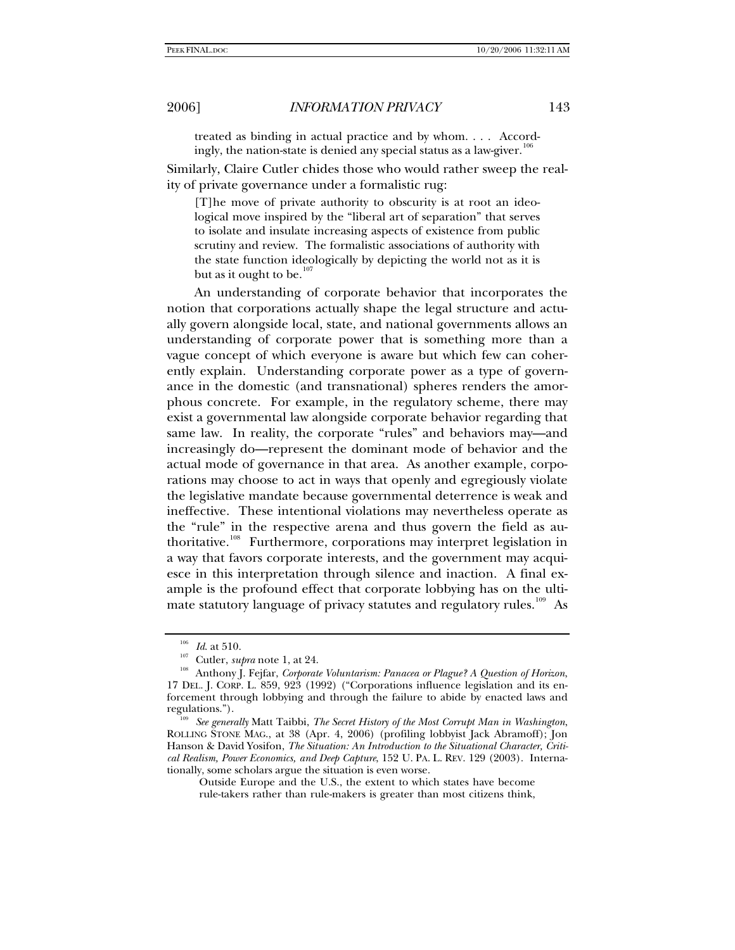treated as binding in actual practice and by whom. . . . Accordingly, the nation-state is denied any special status as a law-giver.<sup>10</sup>

Similarly, Claire Cutler chides those who would rather sweep the reality of private governance under a formalistic rug:

[T]he move of private authority to obscurity is at root an ideological move inspired by the "liberal art of separation" that serves to isolate and insulate increasing aspects of existence from public scrutiny and review. The formalistic associations of authority with the state function ideologically by depicting the world not as it is but as it ought to be. $107$ 

An understanding of corporate behavior that incorporates the notion that corporations actually shape the legal structure and actually govern alongside local, state, and national governments allows an understanding of corporate power that is something more than a vague concept of which everyone is aware but which few can coherently explain. Understanding corporate power as a type of governance in the domestic (and transnational) spheres renders the amorphous concrete. For example, in the regulatory scheme, there may exist a governmental law alongside corporate behavior regarding that same law. In reality, the corporate "rules" and behaviors may—and increasingly do—represent the dominant mode of behavior and the actual mode of governance in that area. As another example, corporations may choose to act in ways that openly and egregiously violate the legislative mandate because governmental deterrence is weak and ineffective. These intentional violations may nevertheless operate as the "rule" in the respective arena and thus govern the field as au-thoritative.<sup>[108](#page-16-2)</sup> Furthermore, corporations may interpret legislation in a way that favors corporate interests, and the government may acquiesce in this interpretation through silence and inaction. A final example is the profound effect that corporate lobbying has on the ulti-mate statutory language of privacy statutes and regulatory rules.<sup>[109](#page-16-3)</sup> As

<span id="page-16-2"></span><span id="page-16-1"></span><span id="page-16-0"></span><sup>&</sup>lt;sup>106</sup> *Id.* at 510.<br><sup>107</sup> Cutler, *supra* note 1, at 24.<br><sup>108</sup> Anthony J. Fejfar, *Corporate Voluntarism: Panacea or Plague? A Question of Horizon*, 17 DEL. J. CORP. L. 859, 923 (1992) ("Corporations influence legislation and its enforcement through lobbying and through the failure to abide by enacted laws and regulations."). 109 *See generally* Matt Taibbi, *The Secret History of the Most Corrupt Man in Washington*,

<span id="page-16-3"></span>ROLLING STONE MAG., at 38 (Apr. 4, 2006) (profiling lobbyist Jack Abramoff); Jon Hanson & David Yosifon, *The Situation: An Introduction to the Situational Character, Critical Realism, Power Economics, and Deep Capture*, 152 U. PA. L. REV. 129 (2003). Internationally, some scholars argue the situation is even worse.

Outside Europe and the U.S., the extent to which states have become rule-takers rather than rule-makers is greater than most citizens think,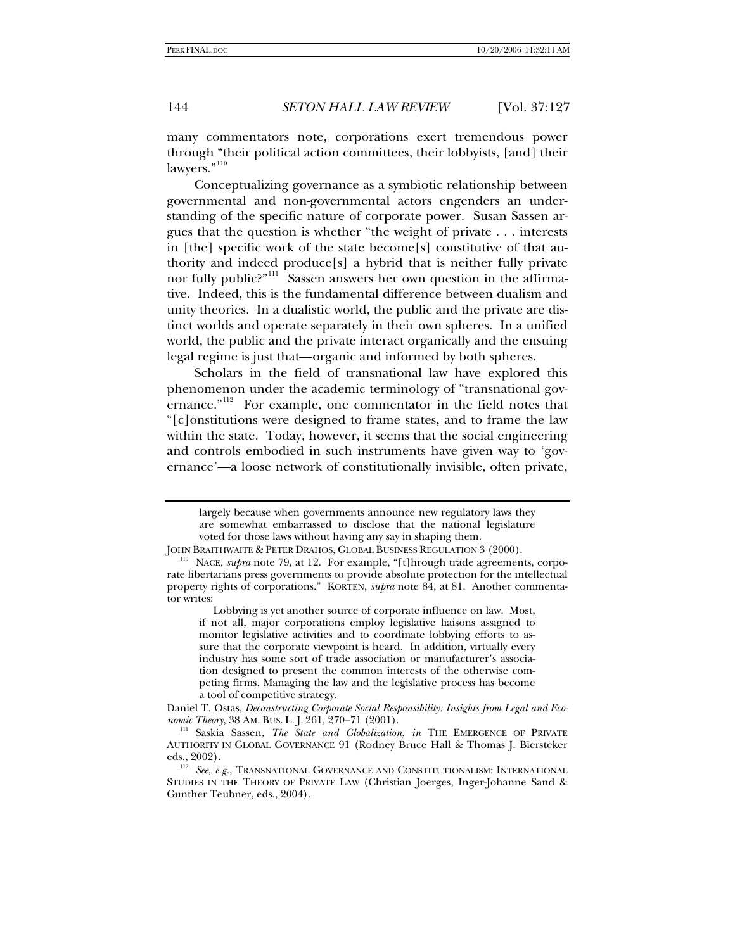many commentators note, corporations exert tremendous power through "their political action committees, their lobbyists, [and] their lawyers."<sup>[110](#page-17-0)</sup>

Conceptualizing governance as a symbiotic relationship between governmental and non-governmental actors engenders an understanding of the specific nature of corporate power. Susan Sassen argues that the question is whether "the weight of private . . . interests in [the] specific work of the state become[s] constitutive of that authority and indeed produce[s] a hybrid that is neither fully private nor fully public?"<sup>[111](#page-17-1)</sup> Sassen answers her own question in the affirmative. Indeed, this is the fundamental difference between dualism and unity theories. In a dualistic world, the public and the private are distinct worlds and operate separately in their own spheres. In a unified world, the public and the private interact organically and the ensuing legal regime is just that—organic and informed by both spheres.

Scholars in the field of transnational law have explored this phenomenon under the academic terminology of "transnational gov-ernance."<sup>[112](#page-17-2)</sup> For example, one commentator in the field notes that "[c]onstitutions were designed to frame states, and to frame the law within the state. Today, however, it seems that the social engineering and controls embodied in such instruments have given way to 'governance'—a loose network of constitutionally invisible, often private,

largely because when governments announce new regulatory laws they are somewhat embarrassed to disclose that the national legislature voted for those laws without having any say in shaping them.

<span id="page-17-0"></span>JOHN BRAITHWAITE & PETER DRAHOS, GLOBAL BUSINESS REGULATION 3 (2000). 110 NACE, *supra* note 79, at 12. For example, "[t]hrough trade agreements, corporate libertarians press governments to provide absolute protection for the intellectual property rights of corporations." KORTEN, *supra* note 84, at 81. Another commentator writes:

Lobbying is yet another source of corporate influence on law. Most, if not all, major corporations employ legislative liaisons assigned to monitor legislative activities and to coordinate lobbying efforts to assure that the corporate viewpoint is heard. In addition, virtually every industry has some sort of trade association or manufacturer's association designed to present the common interests of the otherwise competing firms. Managing the law and the legislative process has become a tool of competitive strategy.

Daniel T. Ostas, *Deconstructing Corporate Social Responsibility: Insights from Legal and Eco-*

<span id="page-17-1"></span><sup>&</sup>lt;sup>111</sup> Saskia Sassen, *The State and Globalization*, *in* THE EMERGENCE OF PRIVATE AUTHORITY IN GLOBAL GOVERNANCE 91 (Rodney Bruce Hall & Thomas J. Biersteker eds., 2002).

<span id="page-17-2"></span>eds., 2002). 112 *See, e.g.*, TRANSNATIONAL GOVERNANCE AND CONSTITUTIONALISM: INTERNATIONAL STUDIES IN THE THEORY OF PRIVATE LAW (Christian Joerges, Inger-Johanne Sand & Gunther Teubner, eds., 2004).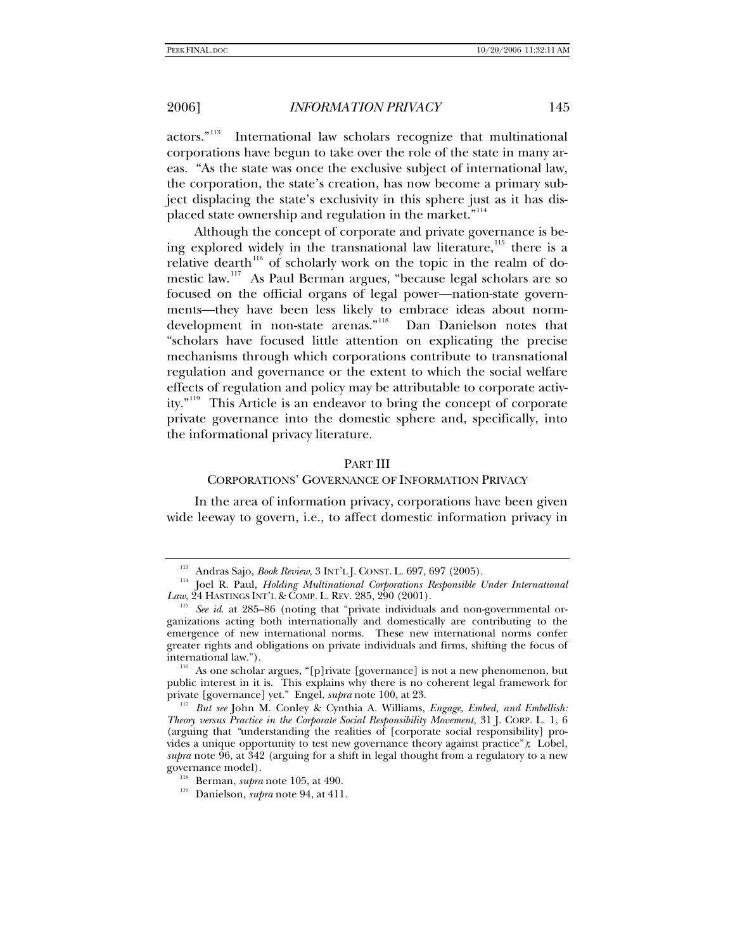actors."[113](#page-18-0) International law scholars recognize that multinational corporations have begun to take over the role of the state in many areas. "As the state was once the exclusive subject of international law, the corporation, the state's creation, has now become a primary subject displacing the state's exclusivity in this sphere just as it has dis-placed state ownership and regulation in the market."<sup>[114](#page-18-1)</sup>

Although the concept of corporate and private governance is being explored widely in the transnational law literature,  $115$  there is a relative dearth<sup>[116](#page-18-3)</sup> of scholarly work on the topic in the realm of domestic law.[117](#page-18-4) As Paul Berman argues, "because legal scholars are so focused on the official organs of legal power—nation-state governments—they have been less likely to embrace ideas about normdevelopment in non-state arenas."[118](#page-18-5) Dan Danielson notes that "scholars have focused little attention on explicating the precise mechanisms through which corporations contribute to transnational regulation and governance or the extent to which the social welfare effects of regulation and policy may be attributable to corporate activity."[119](#page-18-6) This Article is an endeavor to bring the concept of corporate private governance into the domestic sphere and, specifically, into the informational privacy literature.

### PART III

# CORPORATIONS' GOVERNANCE OF INFORMATION PRIVACY

In the area of information privacy, corporations have been given wide leeway to govern, i.e., to affect domestic information privacy in

<span id="page-18-1"></span><span id="page-18-0"></span><sup>&</sup>lt;sup>113</sup> Andras Sajo, *Book Review*, 3 INT'L J. CONST. L. 697, 697 (2005).<br><sup>114</sup> Joel R. Paul, *Holding Multinational Corporations Responsible Under International Law*, 24 HASTINGS INT'L & COMP. L. REV. 285, 290 (2001).

<span id="page-18-2"></span><sup>&</sup>lt;sup>5</sup> See id. at 285–86 (noting that "private individuals and non-governmental organizations acting both internationally and domestically are contributing to the emergence of new international norms. These new international norms confer greater rights and obligations on private individuals and firms, shifting the focus of international law.").<br><sup>116</sup> As one scholar argues, "[p]rivate [governance] is not a new phenomenon, but

<span id="page-18-3"></span>public interest in it is. This explains why there is no coherent legal framework for private [governance] yet." Engel, *supra* note 100, at 23.

<span id="page-18-4"></span><sup>&</sup>lt;sup>117</sup> But see John M. Conley & Cynthia A. Williams, *Engage, Embed, and Embellish: Theory versus Practice in the Corporate Social Responsibility Movement*, 31 J. CORP. L. 1, 6 (arguing that *"*understanding the realities of [corporate social responsibility] provides a unique opportunity to test new governance theory against practice"*)*; Lobel, *supra* note 96, at 342 (arguing for a shift in legal thought from a regulatory to a new

<span id="page-18-6"></span><span id="page-18-5"></span><sup>&</sup>lt;sup>118</sup> Berman, *supra* note 105, at 490.<br><sup>119</sup> Danielson, *supra* note 94, at 411.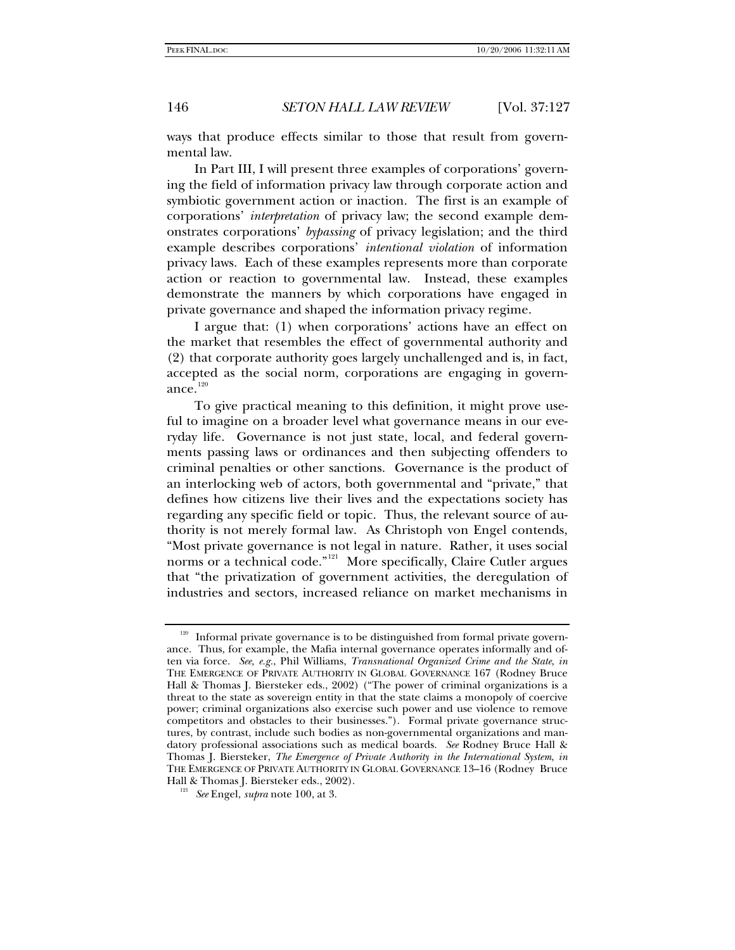ways that produce effects similar to those that result from governmental law.

In Part III, I will present three examples of corporations' governing the field of information privacy law through corporate action and symbiotic government action or inaction. The first is an example of corporations' *interpretation* of privacy law; the second example demonstrates corporations' *bypassing* of privacy legislation; and the third example describes corporations' *intentional violation* of information privacy laws. Each of these examples represents more than corporate action or reaction to governmental law. Instead, these examples demonstrate the manners by which corporations have engaged in private governance and shaped the information privacy regime.

I argue that: (1) when corporations' actions have an effect on the market that resembles the effect of governmental authority and (2) that corporate authority goes largely unchallenged and is, in fact, accepted as the social norm, corporations are engaging in govern-ance.<sup>[120](#page-19-0)</sup>

To give practical meaning to this definition, it might prove useful to imagine on a broader level what governance means in our everyday life. Governance is not just state, local, and federal governments passing laws or ordinances and then subjecting offenders to criminal penalties or other sanctions. Governance is the product of an interlocking web of actors, both governmental and "private," that defines how citizens live their lives and the expectations society has regarding any specific field or topic. Thus, the relevant source of authority is not merely formal law. As Christoph von Engel contends, "Most private governance is not legal in nature. Rather, it uses social norms or a technical code."<sup>[121](#page-19-1)</sup> More specifically, Claire Cutler argues that "the privatization of government activities, the deregulation of industries and sectors, increased reliance on market mechanisms in

<span id="page-19-0"></span> $120$  Informal private governance is to be distinguished from formal private governance. Thus, for example, the Mafia internal governance operates informally and often via force. *See, e.g.*, Phil Williams, *Transnational Organized Crime and the State*, *in* THE EMERGENCE OF PRIVATE AUTHORITY IN GLOBAL GOVERNANCE 167 (Rodney Bruce Hall & Thomas J. Biersteker eds., 2002) ("The power of criminal organizations is a threat to the state as sovereign entity in that the state claims a monopoly of coercive power; criminal organizations also exercise such power and use violence to remove competitors and obstacles to their businesses."). Formal private governance structures, by contrast, include such bodies as non-governmental organizations and mandatory professional associations such as medical boards. *See* Rodney Bruce Hall & Thomas J. Biersteker, *The Emergence of Private Authority in the International System*, *in* THE EMERGENCE OF PRIVATE AUTHORITY IN GLOBAL GOVERNANCE 13–16 (Rodney Bruce Hall & Thomas J. Biersteker eds., 2002). 121 *See* Engel, *supra* note 100, at 3.

<span id="page-19-1"></span>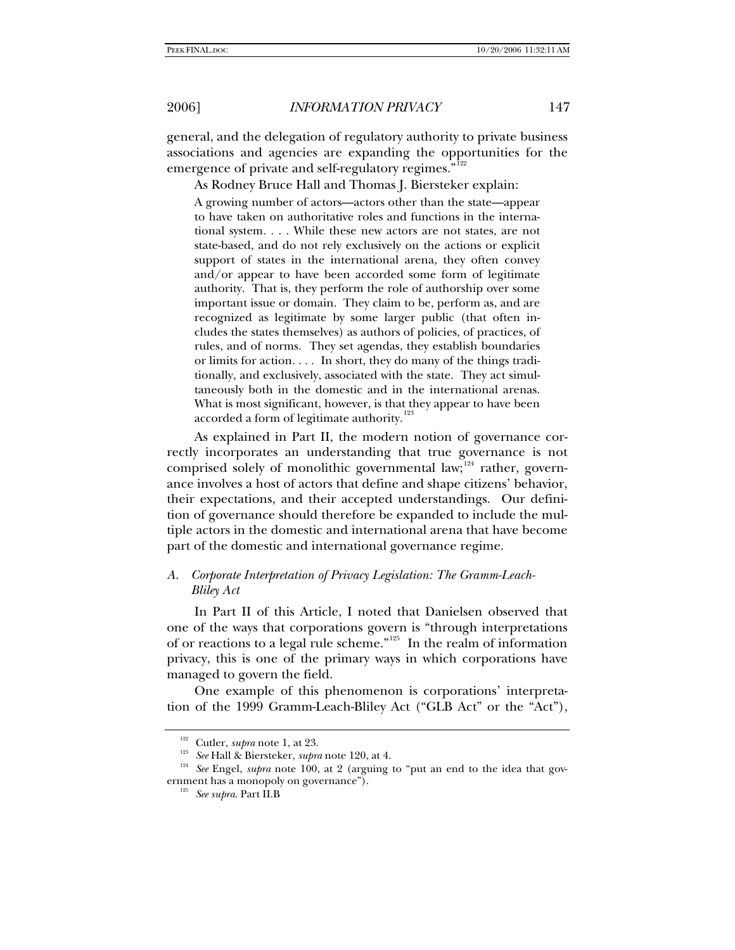general, and the delegation of regulatory authority to private business associations and agencies are expanding the opportunities for the emergence of private and self-regulatory regimes."<sup>[122](#page-20-0)</sup>

As Rodney Bruce Hall and Thomas J. Biersteker explain:

A growing number of actors—actors other than the state—appear to have taken on authoritative roles and functions in the international system. . . . While these new actors are not states, are not state-based, and do not rely exclusively on the actions or explicit support of states in the international arena, they often convey and/or appear to have been accorded some form of legitimate authority. That is, they perform the role of authorship over some important issue or domain. They claim to be, perform as, and are recognized as legitimate by some larger public (that often includes the states themselves) as authors of policies, of practices, of rules, and of norms. They set agendas, they establish boundaries or limits for action. . . . In short, they do many of the things traditionally, and exclusively, associated with the state. They act simultaneously both in the domestic and in the international arenas. What is most significant, however, is that they appear to have been accorded a form of legitimate authority.<sup>[123](#page-20-1)</sup>

As explained in Part II, the modern notion of governance correctly incorporates an understanding that true governance is not comprised solely of monolithic governmental law; $124$  rather, governance involves a host of actors that define and shape citizens' behavior, their expectations, and their accepted understandings. Our definition of governance should therefore be expanded to include the multiple actors in the domestic and international arena that have become part of the domestic and international governance regime.

# *A. Corporate Interpretation of Privacy Legislation: The Gramm-Leach-Bliley Act*

In Part II of this Article, I noted that Danielsen observed that one of the ways that corporations govern is "through interpretations of or reactions to a legal rule scheme."[125](#page-20-3) In the realm of information privacy, this is one of the primary ways in which corporations have managed to govern the field.

One example of this phenomenon is corporations' interpretation of the 1999 Gramm-Leach-Bliley Act ("GLB Act" or the "Act"),

<span id="page-20-3"></span><span id="page-20-2"></span><span id="page-20-1"></span><span id="page-20-0"></span><sup>&</sup>lt;sup>122</sup> Cutler, *supra* note 1, at 23.<br><sup>123</sup> See Hall & Biersteker, *supra* note 120, at 4.<br><sup>124</sup> See Engel, *supra* note 100, at 2 (arguing to "put an end to the idea that government has a monopoly on governance"). 125 *See supra*. Part II.B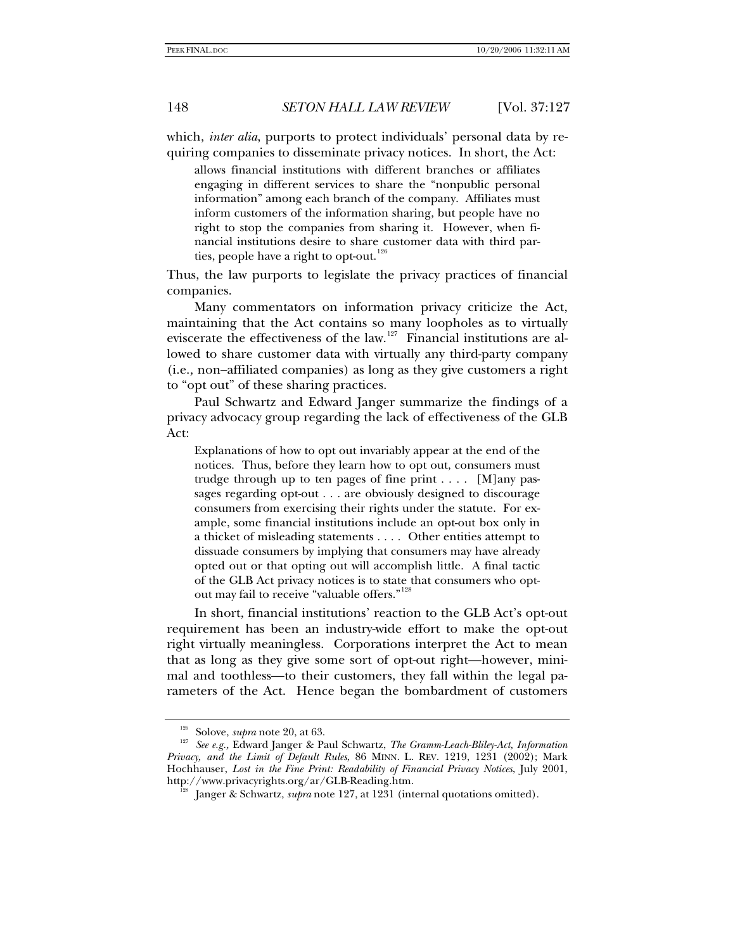which, *inter alia*, purports to protect individuals' personal data by requiring companies to disseminate privacy notices. In short, the Act:

allows financial institutions with different branches or affiliates engaging in different services to share the "nonpublic personal information" among each branch of the company. Affiliates must inform customers of the information sharing, but people have no right to stop the companies from sharing it. However, when financial institutions desire to share customer data with third par-ties, people have a right to opt-out.<sup>[126](#page-21-0)</sup>

Thus, the law purports to legislate the privacy practices of financial companies.

Many commentators on information privacy criticize the Act, maintaining that the Act contains so many loopholes as to virtually eviscerate the effectiveness of the law.<sup>[127](#page-21-1)</sup> Financial institutions are allowed to share customer data with virtually any third-party company (i.e.*,* non–affiliated companies) as long as they give customers a right to "opt out" of these sharing practices.

Paul Schwartz and Edward Janger summarize the findings of a privacy advocacy group regarding the lack of effectiveness of the GLB Act:

Explanations of how to opt out invariably appear at the end of the notices. Thus, before they learn how to opt out, consumers must trudge through up to ten pages of fine print . . . . [M]any passages regarding opt-out . . . are obviously designed to discourage consumers from exercising their rights under the statute. For example, some financial institutions include an opt-out box only in a thicket of misleading statements . . . . Other entities attempt to dissuade consumers by implying that consumers may have already opted out or that opting out will accomplish little. A final tactic of the GLB Act privacy notices is to state that consumers who opt-out may fail to receive "valuable offers."<sup>[128](#page-21-2)</sup>

In short, financial institutions' reaction to the GLB Act's opt-out requirement has been an industry-wide effort to make the opt-out right virtually meaningless. Corporations interpret the Act to mean that as long as they give some sort of opt-out right—however, minimal and toothless—to their customers, they fall within the legal parameters of the Act. Hence began the bombardment of customers

<span id="page-21-2"></span><span id="page-21-1"></span><span id="page-21-0"></span><sup>126</sup> Solove, *supra* note 20, at 63. 127 *See e.g.,* Edward Janger & Paul Schwartz, *The Gramm-Leach-Bliley-Act, Information Privacy, and the Limit of Default Rules*, 86 MINN. L. REV. 1219, 1231 (2002); Mark Hochhauser, *Lost in the Fine Print: Readability of Financial Privacy Notices*, July 2001, http://www.privacyrights.org/ar/GLB-Reading.htm.<br><sup>128</sup> Janger & Schwartz, *supra* note 127, at 1231 (internal quotations omitted).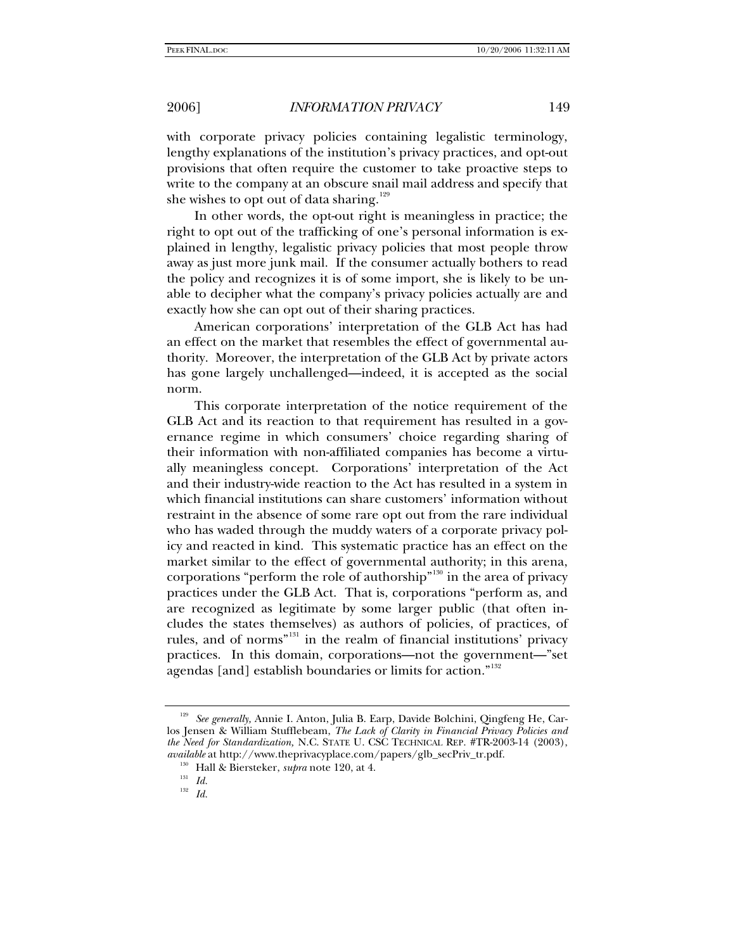with corporate privacy policies containing legalistic terminology, lengthy explanations of the institution's privacy practices, and opt-out provisions that often require the customer to take proactive steps to write to the company at an obscure snail mail address and specify that she wishes to opt out of data sharing. $129$ 

In other words, the opt-out right is meaningless in practice; the right to opt out of the trafficking of one's personal information is explained in lengthy, legalistic privacy policies that most people throw away as just more junk mail. If the consumer actually bothers to read the policy and recognizes it is of some import, she is likely to be unable to decipher what the company's privacy policies actually are and exactly how she can opt out of their sharing practices.

American corporations' interpretation of the GLB Act has had an effect on the market that resembles the effect of governmental authority. Moreover, the interpretation of the GLB Act by private actors has gone largely unchallenged—indeed, it is accepted as the social norm.

This corporate interpretation of the notice requirement of the GLB Act and its reaction to that requirement has resulted in a governance regime in which consumers' choice regarding sharing of their information with non-affiliated companies has become a virtually meaningless concept. Corporations' interpretation of the Act and their industry-wide reaction to the Act has resulted in a system in which financial institutions can share customers' information without restraint in the absence of some rare opt out from the rare individual who has waded through the muddy waters of a corporate privacy policy and reacted in kind. This systematic practice has an effect on the market similar to the effect of governmental authority; in this arena, corporations "perform the role of authorship"<sup>[130](#page-22-1)</sup> in the area of privacy practices under the GLB Act. That is, corporations "perform as, and are recognized as legitimate by some larger public (that often includes the states themselves) as authors of policies, of practices, of rules, and of norms"[131](#page-22-2) in the realm of financial institutions' privacy practices. In this domain, corporations—not the government—"set agendas [and] establish boundaries or limits for action."<sup>[132](#page-22-3)</sup>

<span id="page-22-2"></span><span id="page-22-1"></span><span id="page-22-0"></span><sup>129</sup> *See generally,* Annie I. Anton, Julia B. Earp, Davide Bolchini, Qingfeng He, Carlos Jensen & William Stufflebeam, *The Lack of Clarity in Financial Privacy Policies and the Need for Standardization,* N.C. STATE U. CSC TECHNICAL REP. #TR-2003-14 (2003), *available* at http://www.theprivacyplace.com/papers/glb\_secPriv\_tr.pdf. <sup>130</sup> Hall & Biersteker, *supra* note 120, at 4.

<span id="page-22-3"></span><sup>132</sup> *Id.*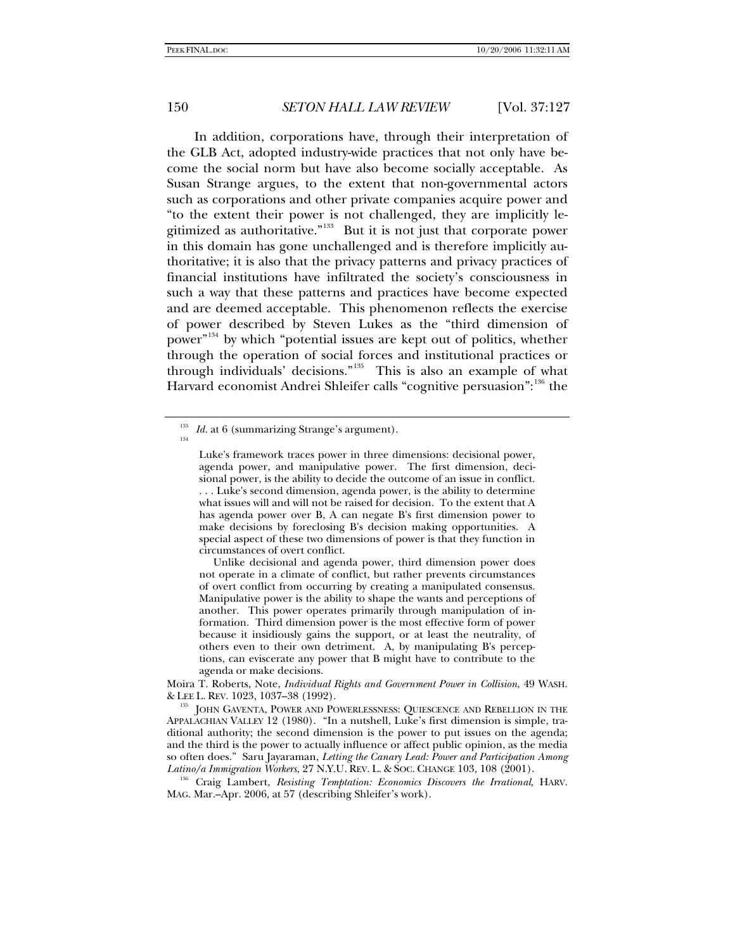In addition, corporations have, through their interpretation of the GLB Act, adopted industry-wide practices that not only have become the social norm but have also become socially acceptable. As Susan Strange argues, to the extent that non-governmental actors such as corporations and other private companies acquire power and "to the extent their power is not challenged, they are implicitly legitimized as authoritative."[133](#page-23-0) But it is not just that corporate power in this domain has gone unchallenged and is therefore implicitly authoritative; it is also that the privacy patterns and privacy practices of financial institutions have infiltrated the society's consciousness in such a way that these patterns and practices have become expected and are deemed acceptable. This phenomenon reflects the exercise of power described by Steven Lukes as the "third dimension of power<sup>"[134](#page-23-1)</sup> by which "potential issues are kept out of politics, whether through the operation of social forces and institutional practices or through individuals' decisions."<sup>[135](#page-23-2)</sup> This is also an example of what Harvard economist Andrei Shleifer calls "cognitive persuasion":<sup>[136](#page-23-3)</sup> the

<span id="page-23-1"></span><span id="page-23-0"></span> $\frac{133}{134}$  *Id.* at 6 (summarizing Strange's argument).

Luke's framework traces power in three dimensions: decisional power, agenda power, and manipulative power. The first dimension, decisional power, is the ability to decide the outcome of an issue in conflict. . . . Luke's second dimension, agenda power, is the ability to determine what issues will and will not be raised for decision. To the extent that A has agenda power over B, A can negate B's first dimension power to make decisions by foreclosing B's decision making opportunities. A special aspect of these two dimensions of power is that they function in circumstances of overt conflict.

Unlike decisional and agenda power, third dimension power does not operate in a climate of conflict, but rather prevents circumstances of overt conflict from occurring by creating a manipulated consensus. Manipulative power is the ability to shape the wants and perceptions of another. This power operates primarily through manipulation of information. Third dimension power is the most effective form of power because it insidiously gains the support, or at least the neutrality, of others even to their own detriment. A, by manipulating B's perceptions, can eviscerate any power that B might have to contribute to the agenda or make decisions.

Moira T. Roberts, Note, *Individual Rights and Government Power in Collision*, 49 WASH.

<span id="page-23-2"></span><sup>&</sup>amp; LEE L. REV. 1023, 1037–38 (1992). 135 JOHN GAVENTA, POWER AND POWERLESSNESS: QUIESCENCE AND REBELLION IN THE APPALACHIAN VALLEY 12 (1980). "In a nutshell, Luke's first dimension is simple, traditional authority; the second dimension is the power to put issues on the agenda; and the third is the power to actually influence or affect public opinion, as the media so often does." Saru Jayaraman, *Letting the Canary Lead: Power and Participation Among* 

<span id="page-23-3"></span>*Latino/a Immigration Workers*, 27 N.Y.U. REV. L. & SOC. CHANGE 103, 108 (2001). 136 Craig Lambert, *Resisting Temptation: Economics Discovers the Irrational*, HARV. MAG. Mar.–Apr. 2006, at 57 (describing Shleifer's work).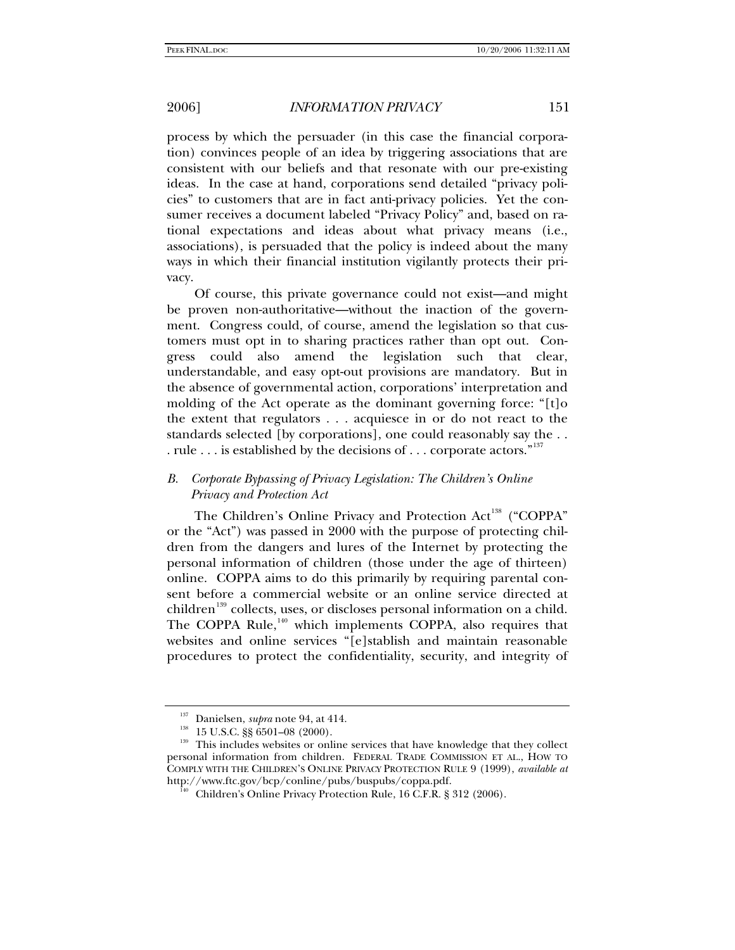process by which the persuader (in this case the financial corporation) convinces people of an idea by triggering associations that are consistent with our beliefs and that resonate with our pre-existing ideas. In the case at hand, corporations send detailed "privacy policies" to customers that are in fact anti-privacy policies. Yet the consumer receives a document labeled "Privacy Policy" and, based on rational expectations and ideas about what privacy means (i.e., associations), is persuaded that the policy is indeed about the many ways in which their financial institution vigilantly protects their privacy.

Of course, this private governance could not exist—and might be proven non-authoritative—without the inaction of the government. Congress could, of course, amend the legislation so that customers must opt in to sharing practices rather than opt out. Congress could also amend the legislation such that clear, understandable, and easy opt-out provisions are mandatory. But in the absence of governmental action, corporations' interpretation and molding of the Act operate as the dominant governing force: "[t]o the extent that regulators . . . acquiesce in or do not react to the standards selected [by corporations], one could reasonably say the . . . rule . . . is established by the decisions of . . . corporate actors."<sup>[137](#page-24-0)</sup>

# *B. Corporate Bypassing of Privacy Legislation: The Children's Online Privacy and Protection Act*

The Children's Online Privacy and Protection Act<sup>[138](#page-24-1)</sup> ("COPPA" or the "Act") was passed in 2000 with the purpose of protecting children from the dangers and lures of the Internet by protecting the personal information of children (those under the age of thirteen) online. COPPA aims to do this primarily by requiring parental consent before a commercial website or an online service directed at children<sup>[139](#page-24-2)</sup> collects, uses, or discloses personal information on a child. The COPPA Rule,<sup>[140](#page-24-3)</sup> which implements COPPA, also requires that websites and online services "[e]stablish and maintain reasonable procedures to protect the confidentiality, security, and integrity of

<span id="page-24-3"></span><span id="page-24-2"></span><span id="page-24-1"></span><span id="page-24-0"></span><sup>&</sup>lt;sup>137</sup> Danielsen, *supra* note 94, at 414.<br><sup>138</sup> 15 U.S.C. §§ 6501–08 (2000).<br><sup>139</sup> This includes websites or online services that have knowledge that they collect personal information from children. FEDERAL TRADE COMMISSION ET AL., HOW TO COMPLY WITH THE CHILDREN'S ONLINE PRIVACY PROTECTION RULE 9 (1999), *available at* http://www.ftc.gov/bcp/conline/pubs/buspubs/coppa.pdf. 140 Children's Online Privacy Protection Rule, 16 C.F.R. § 312 (2006).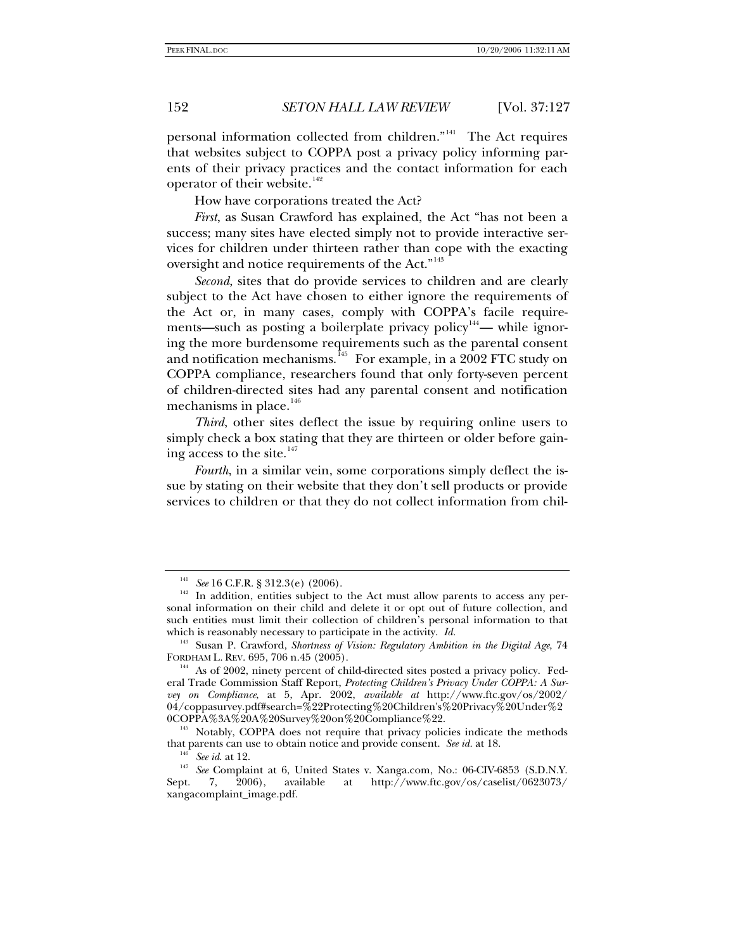personal information collected from children."[141](#page-25-0) The Act requires that websites subject to COPPA post a privacy policy informing parents of their privacy practices and the contact information for each operator of their website. $142$ 

How have corporations treated the Act?

*First*, as Susan Crawford has explained, the Act "has not been a success; many sites have elected simply not to provide interactive services for children under thirteen rather than cope with the exacting oversight and notice requirements of the Act."<sup>[143](#page-25-2)</sup>

*Second*, sites that do provide services to children and are clearly subject to the Act have chosen to either ignore the requirements of the Act or, in many cases, comply with COPPA's facile requirements—such as posting a boilerplate privacy policy $144$ — while ignoring the more burdensome requirements such as the parental consent and notification mechanisms.<sup>[145](#page-25-4)</sup> For example, in a 2002 FTC study on COPPA compliance, researchers found that only forty-seven percent of children-directed sites had any parental consent and notification mechanisms in place.<sup>[146](#page-25-5)</sup>

*Third*, other sites deflect the issue by requiring online users to simply check a box stating that they are thirteen or older before gaining access to the site. $147$ 

*Fourth*, in a similar vein, some corporations simply deflect the issue by stating on their website that they don't sell products or provide services to children or that they do not collect information from chil-

See 16 C.F.R. § 312.3(e) (2006).

<span id="page-25-1"></span><span id="page-25-0"></span><sup>&</sup>lt;sup>142</sup> In addition, entities subject to the Act must allow parents to access any personal information on their child and delete it or opt out of future collection, and such entities must limit their collection of children's personal information to that which is reasonably necessary to participate in the activity. *Id.*

<span id="page-25-2"></span><sup>143</sup> Susan P. Crawford, *Shortness of Vision: Regulatory Ambition in the Digital Age*, 74 FORDHAM L. REV. 695, 706 n.45 (2005).<br><sup>144</sup> As of 2002, ninety percent of child-directed sites posted a privacy policy. Fed-

<span id="page-25-3"></span>eral Trade Commission Staff Report, *Protecting Children's Privacy Under COPPA: A Survey on Compliance*, at 5, Apr. 2002, *available at* http://www.ftc.gov/os/2002/ 04/coppasurvey.pdf#search=%22Protecting%20Children's%20Privacy%20Under%2 0COPPA%3A%20A%20Survey%20on%20Compliance%22. 145 Notably, COPPA does not require that privacy policies indicate the methods

<span id="page-25-4"></span>

<span id="page-25-6"></span><span id="page-25-5"></span>that parents can use to obtain notice and provide consent. *See id.* at 18.<br><sup>146</sup> See *id.* at 12.<br><sup>147</sup> See Complaint at 6, United States v. Xanga.com, No.: 06-CIV-6853 (S.D.N.Y. Sept. 7, 2006), available at http://www.ftc.gov/os/caselist/0623073/ xangacomplaint\_image.pdf.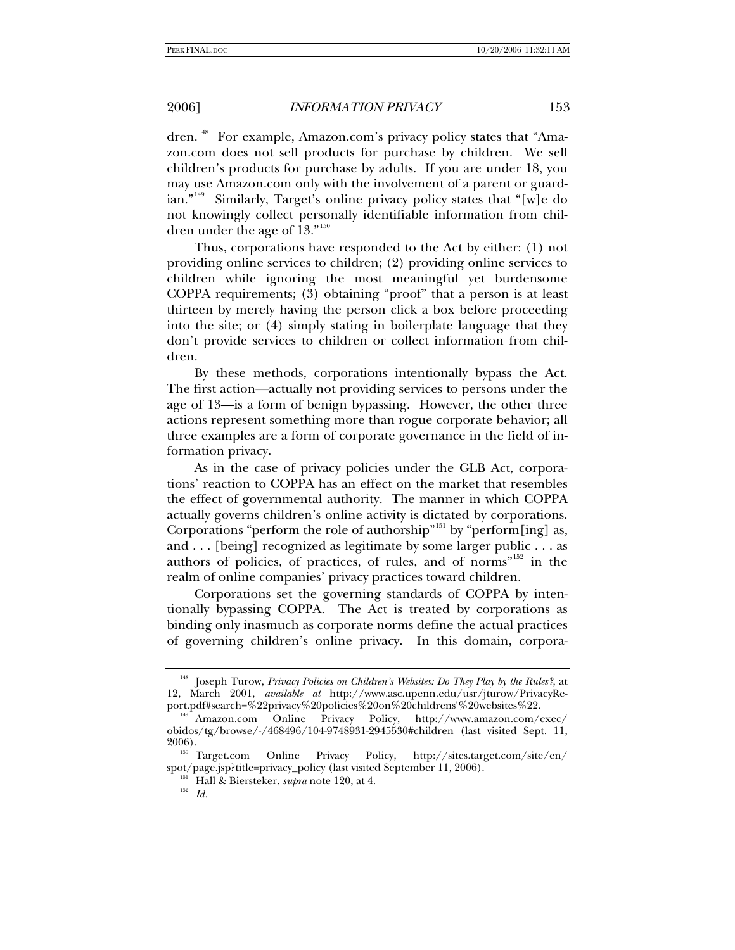dren.<sup>[148](#page-26-0)</sup> For example, Amazon.com's privacy policy states that "Amazon.com does not sell products for purchase by children. We sell children's products for purchase by adults. If you are under 18, you may use Amazon.com only with the involvement of a parent or guardian."[149](#page-26-1) Similarly, Target's online privacy policy states that "[w]e do not knowingly collect personally identifiable information from children under the age of 13."[150](#page-26-2)

Thus, corporations have responded to the Act by either: (1) not providing online services to children; (2) providing online services to children while ignoring the most meaningful yet burdensome COPPA requirements; (3) obtaining "proof" that a person is at least thirteen by merely having the person click a box before proceeding into the site; or (4) simply stating in boilerplate language that they don't provide services to children or collect information from children.

By these methods, corporations intentionally bypass the Act. The first action—actually not providing services to persons under the age of 13—is a form of benign bypassing. However, the other three actions represent something more than rogue corporate behavior; all three examples are a form of corporate governance in the field of information privacy.

As in the case of privacy policies under the GLB Act, corporations' reaction to COPPA has an effect on the market that resembles the effect of governmental authority. The manner in which COPPA actually governs children's online activity is dictated by corporations. Corporations "perform the role of authorship"<sup>[151](#page-26-3)</sup> by "perform[ing] as, and . . . [being] recognized as legitimate by some larger public . . . as authors of policies, of practices, of rules, and of norms<sup>"[152](#page-26-4)</sup> in the realm of online companies' privacy practices toward children.

Corporations set the governing standards of COPPA by intentionally bypassing COPPA. The Act is treated by corporations as binding only inasmuch as corporate norms define the actual practices of governing children's online privacy. In this domain, corpora-

<span id="page-26-0"></span><sup>148</sup> Joseph Turow, *Privacy Policies on Children's Websites: Do They Play by the Rules?*, at 12, March 2001, *available at* http://www.asc.upenn.edu/usr/jturow/PrivacyRe-

<span id="page-26-1"></span> $p^{\text{149}}$  Amazon.com Online Privacy Policy, http://www.amazon.com/exec/ obidos/tg/browse/-/468496/104-9748931-2945530#children (last visited Sept. 11, 2006). 150 Target.com Online Privacy Policy, http://sites.target.com/site/en/

<span id="page-26-4"></span><span id="page-26-3"></span><span id="page-26-2"></span>spot/page.jsp?title=privacy\_policy (last visited September 11, 2006). 151 Hall & Biersteker, *supra* note 120, at 4. 152 *Id.*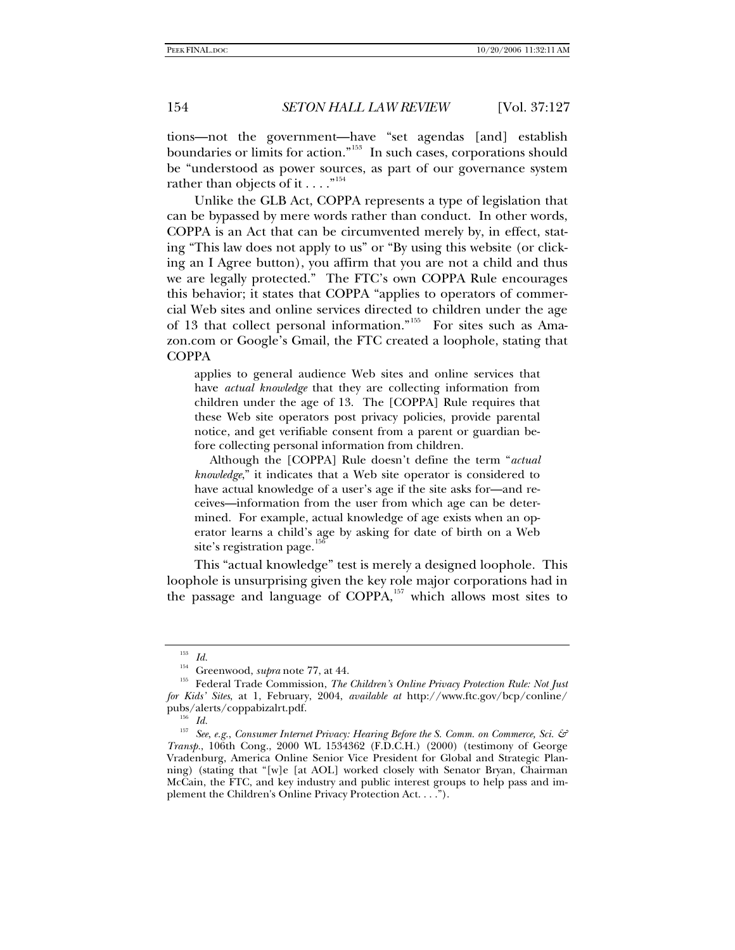tions—not the government—have "set agendas [and] establish boundaries or limits for action."[153](#page-27-0) In such cases, corporations should be "understood as power sources, as part of our governance system rather than objects of it  $\dots$ ."<sup>[154](#page-27-1)</sup>

Unlike the GLB Act, COPPA represents a type of legislation that can be bypassed by mere words rather than conduct. In other words, COPPA is an Act that can be circumvented merely by, in effect, stating "This law does not apply to us" or "By using this website (or clicking an I Agree button), you affirm that you are not a child and thus we are legally protected." The FTC's own COPPA Rule encourages this behavior; it states that COPPA "applies to operators of commercial Web sites and online services directed to children under the age of 13 that collect personal information."<sup>[155](#page-27-2)</sup> For sites such as Amazon.com or Google's Gmail, the FTC created a loophole, stating that **COPPA** 

applies to general audience Web sites and online services that have *actual knowledge* that they are collecting information from children under the age of 13. The [COPPA] Rule requires that these Web site operators post privacy policies, provide parental notice, and get verifiable consent from a parent or guardian before collecting personal information from children.

 Although the [COPPA] Rule doesn't define the term "*actual knowledge*," it indicates that a Web site operator is considered to have actual knowledge of a user's age if the site asks for—and receives—information from the user from which age can be determined. For example, actual knowledge of age exists when an operator learns a child's age by asking for date of birth on a Web site's registration page.

This "actual knowledge" test is merely a designed loophole. This loophole is unsurprising given the key role major corporations had in the passage and language of COPPA, $157$  which allows most sites to

 $^{153}$  *Id.* Greenwood, *supra* note 77, at 44.

<span id="page-27-2"></span><span id="page-27-1"></span><span id="page-27-0"></span><sup>&</sup>lt;sup>155</sup> Federal Trade Commission, *The Children's Online Privacy Protection Rule: Not Just for Kids' Sites*, at 1, February, 2004, *available at* http://www.ftc.gov/bcp/conline/ pubs/alerts/coppabizalrt.pdf. 156 *Id.*

<span id="page-27-4"></span><span id="page-27-3"></span><sup>157</sup> *See*, *e.g.*, *Consumer Internet Privacy: Hearing Before the S. Comm. on Commerce, Sci. & Transp.*, 106th Cong., 2000 WL 1534362 (F.D.C.H.) (2000) (testimony of George Vradenburg, America Online Senior Vice President for Global and Strategic Planning) (stating that "[w]e [at AOL] worked closely with Senator Bryan, Chairman McCain, the FTC, and key industry and public interest groups to help pass and implement the Children's Online Privacy Protection Act. . . .").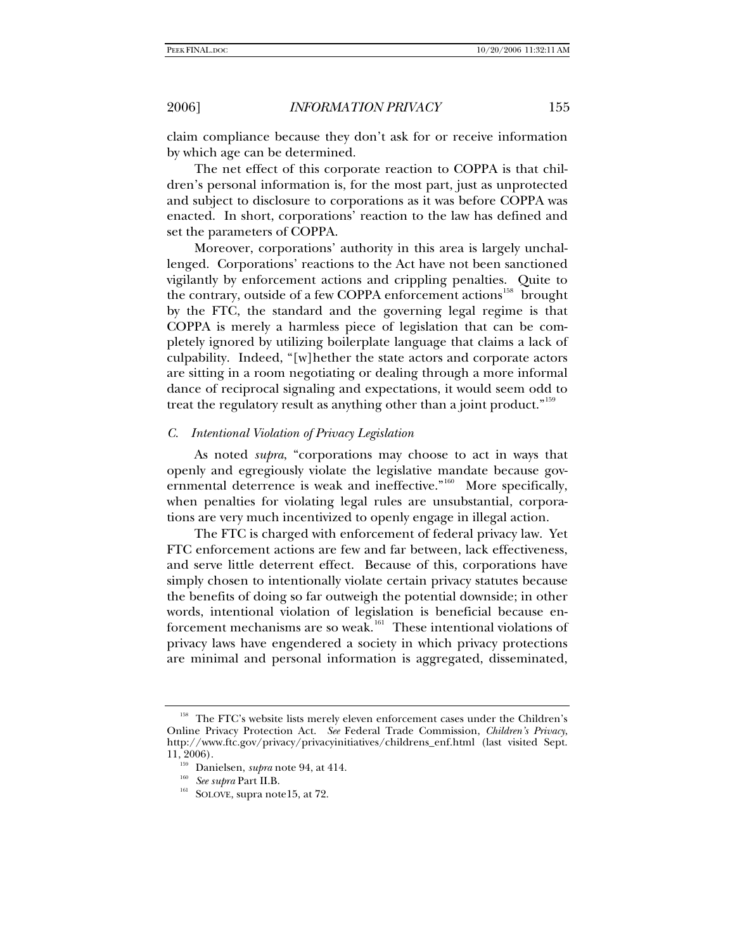claim compliance because they don't ask for or receive information by which age can be determined.

The net effect of this corporate reaction to COPPA is that children's personal information is, for the most part, just as unprotected and subject to disclosure to corporations as it was before COPPA was enacted. In short, corporations' reaction to the law has defined and set the parameters of COPPA.

Moreover, corporations' authority in this area is largely unchallenged. Corporations' reactions to the Act have not been sanctioned vigilantly by enforcement actions and crippling penalties. Quite to the contrary, outside of a few COPPA enforcement actions<sup>[158](#page-28-0)</sup> brought by the FTC, the standard and the governing legal regime is that COPPA is merely a harmless piece of legislation that can be completely ignored by utilizing boilerplate language that claims a lack of culpability. Indeed, "[w]hether the state actors and corporate actors are sitting in a room negotiating or dealing through a more informal dance of reciprocal signaling and expectations, it would seem odd to treat the regulatory result as anything other than a joint product."<sup>[159](#page-28-1)</sup>

## *C. Intentional Violation of Privacy Legislation*

As noted *supra*, "corporations may choose to act in ways that openly and egregiously violate the legislative mandate because governmental deterrence is weak and ineffective." $160$  More specifically, when penalties for violating legal rules are unsubstantial, corporations are very much incentivized to openly engage in illegal action.

The FTC is charged with enforcement of federal privacy law. Yet FTC enforcement actions are few and far between, lack effectiveness, and serve little deterrent effect. Because of this, corporations have simply chosen to intentionally violate certain privacy statutes because the benefits of doing so far outweigh the potential downside; in other words, intentional violation of legislation is beneficial because en-forcement mechanisms are so weak.<sup>[161](#page-28-3)</sup> These intentional violations of privacy laws have engendered a society in which privacy protections are minimal and personal information is aggregated, disseminated,

<span id="page-28-2"></span><span id="page-28-1"></span><span id="page-28-0"></span><sup>&</sup>lt;sup>158</sup> The FTC's website lists merely eleven enforcement cases under the Children's Online Privacy Protection Act. *See* Federal Trade Commission, *Children's Privacy*, http://www.ftc.gov/privacy/privacyinitiatives/childrens\_enf.html (last visited Sept. 11, 2006). 159 Danielsen, *supra* note 94, at 414. 160 *See supra* Part II.B. 161 SOLOVE, supra note15, at 72.

<span id="page-28-3"></span>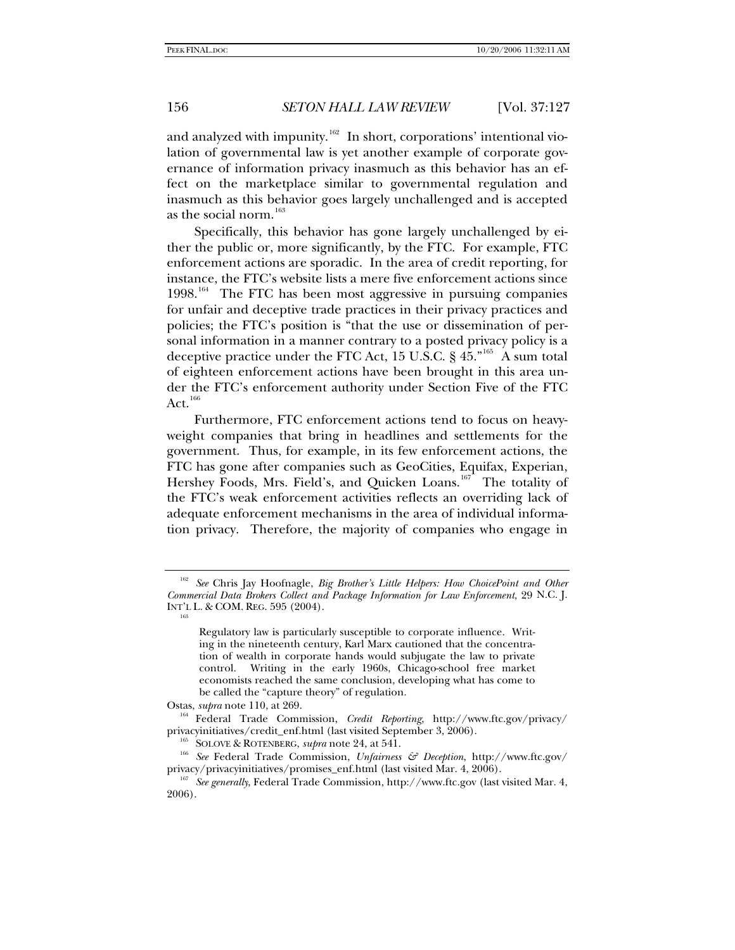and analyzed with impunity.<sup>[162](#page-29-0)</sup> In short, corporations' intentional violation of governmental law is yet another example of corporate governance of information privacy inasmuch as this behavior has an effect on the marketplace similar to governmental regulation and inasmuch as this behavior goes largely unchallenged and is accepted as the social norm.<sup>[163](#page-29-1)</sup>

Specifically, this behavior has gone largely unchallenged by either the public or, more significantly, by the FTC. For example, FTC enforcement actions are sporadic. In the area of credit reporting, for instance, the FTC's website lists a mere five enforcement actions since 1998.<sup>[164](#page-29-2)</sup> The FTC has been most aggressive in pursuing companies for unfair and deceptive trade practices in their privacy practices and policies; the FTC's position is "that the use or dissemination of personal information in a manner contrary to a posted privacy policy is a deceptive practice under the FTC Act, 15 U.S.C.  $\S$  45.<sup>"[165](#page-29-3)</sup> A sum total of eighteen enforcement actions have been brought in this area under the FTC's enforcement authority under Section Five of the FTC Act. $166$ 

Furthermore, FTC enforcement actions tend to focus on heavyweight companies that bring in headlines and settlements for the government. Thus, for example, in its few enforcement actions, the FTC has gone after companies such as GeoCities, Equifax, Experian, Hershey Foods, Mrs. Field's, and Quicken Loans.<sup>[167](#page-29-5)</sup> The totality of the FTC's weak enforcement activities reflects an overriding lack of adequate enforcement mechanisms in the area of individual information privacy. Therefore, the majority of companies who engage in

<span id="page-29-1"></span><span id="page-29-0"></span><sup>&</sup>lt;sup>162</sup> See Chris Jay Hoofnagle, *Big Brother's Little Helpers: How ChoicePoint and Other Commercial Data Brokers Collect and Package Information for Law Enforcement*, 29 N.C. J. INT'L L. & COM. REG. 595 (2004).

Regulatory law is particularly susceptible to corporate influence. Writing in the nineteenth century, Karl Marx cautioned that the concentration of wealth in corporate hands would subjugate the law to private control. Writing in the early 1960s, Chicago-school free market economists reached the same conclusion, developing what has come to be called the "capture theory" of regulation.

<span id="page-29-2"></span>Ostas, *supra* note 110, at 269.<br><sup>164</sup> Federal Trade Commission, *Credit Reporting*, http://www.ftc.gov/privacy/<br>privacyinitiatives/credit\_enf.html (last visited September 3, 2006).

<span id="page-29-4"></span><span id="page-29-3"></span><sup>&</sup>lt;sup>165</sup> SOLOVE & ROTENBERG, *supra* note 24, at 541.<br><sup>166</sup> See Federal Trade Commission, *Unfairness & Deception*, http://www.ftc.gov/<br>privacy/privacyinitiatives/promises\_enf.html (last visited Mar. 4, 2006).

<span id="page-29-5"></span><sup>&</sup>lt;sup>167</sup> See generally, Federal Trade Commission, http://www.ftc.gov (last visited Mar. 4, 2006).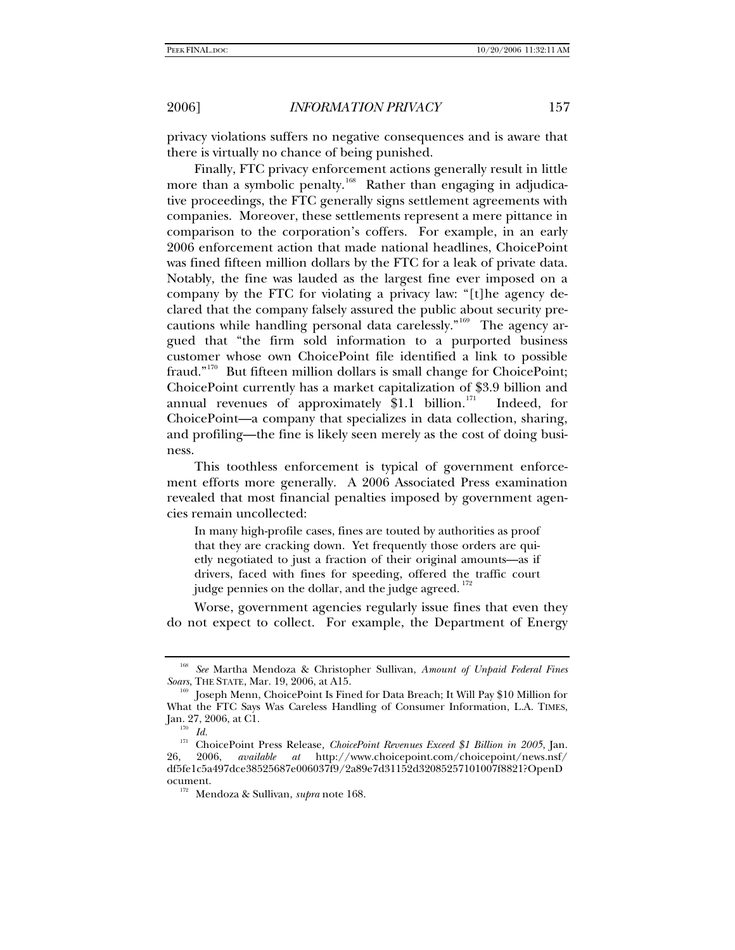privacy violations suffers no negative consequences and is aware that there is virtually no chance of being punished.

Finally, FTC privacy enforcement actions generally result in little more than a symbolic penalty.<sup>[168](#page-30-0)</sup> Rather than engaging in adjudicative proceedings, the FTC generally signs settlement agreements with companies. Moreover, these settlements represent a mere pittance in comparison to the corporation's coffers. For example, in an early 2006 enforcement action that made national headlines, ChoicePoint was fined fifteen million dollars by the FTC for a leak of private data. Notably, the fine was lauded as the largest fine ever imposed on a company by the FTC for violating a privacy law: "[t]he agency declared that the company falsely assured the public about security pre-cautions while handling personal data carelessly."<sup>[169](#page-30-1)</sup> The agency argued that "the firm sold information to a purported business customer whose own ChoicePoint file identified a link to possible fraud."[170](#page-30-2) But fifteen million dollars is small change for ChoicePoint; ChoicePoint currently has a market capitalization of \$3.9 billion and annual revenues of approximately  $$1.1$  billion.<sup>[171](#page-30-3)</sup> Indeed, for ChoicePoint—a company that specializes in data collection, sharing, and profiling—the fine is likely seen merely as the cost of doing business.

This toothless enforcement is typical of government enforcement efforts more generally. A 2006 Associated Press examination revealed that most financial penalties imposed by government agencies remain uncollected:

In many high-profile cases, fines are touted by authorities as proof that they are cracking down. Yet frequently those orders are quietly negotiated to just a fraction of their original amounts—as if drivers, faced with fines for speeding, offered the traffic court judge pennies on the dollar, and the judge agreed.  $^{172}$  $^{172}$  $^{172}$ 

Worse, government agencies regularly issue fines that even they do not expect to collect. For example, the Department of Energy

<span id="page-30-0"></span><sup>&</sup>lt;sup>168</sup> See Martha Mendoza & Christopher Sullivan, *Amount of Unpaid Federal Fines* Soars, THE STATE, Mar. 19, 2006, at A15.

<span id="page-30-1"></span><sup>&</sup>lt;sup>169</sup> Joseph Menn, ChoicePoint Is Fined for Data Breach; It Will Pay \$10 Million for What the FTC Says Was Careless Handling of Consumer Information, L.A. TIMES, Jan. 27, 2006, at C1. 170 *Id.*

<span id="page-30-3"></span><span id="page-30-2"></span><sup>&</sup>lt;sup>171</sup> ChoicePoint Press Release, *ChoicePoint Revenues Exceed \$1 Billion in 2005*, Jan. 26, 2006, *available* at http://www.choicepoint.com/choicepoint/news.nsf/ 26, 2006, *available at* http://www.choicepoint.com/choicepoint/news.nsf/ df5fe1c5a497dce38525687e006037f9/2a89e7d31152d32085257101007f8821?OpenD

<span id="page-30-4"></span>ocument. 172 Mendoza & Sullivan, *supra* note 168.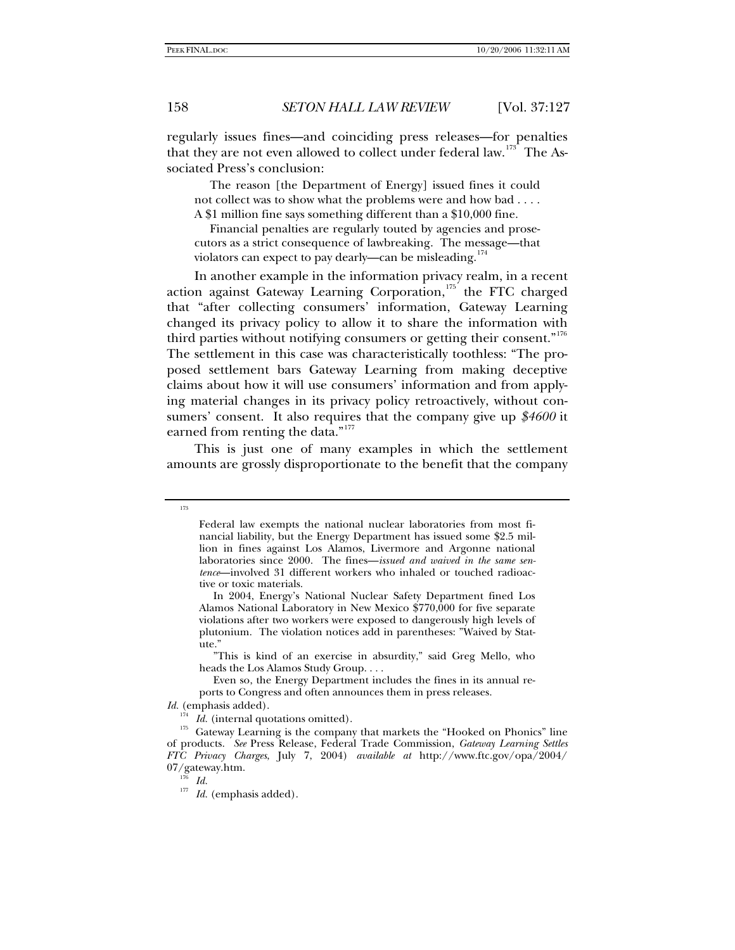regularly issues fines—and coinciding press releases—for penalties that they are not even allowed to collect under federal law.<sup>[173](#page-31-0)</sup> The Associated Press's conclusion:

 The reason [the Department of Energy] issued fines it could not collect was to show what the problems were and how bad . . . . A \$1 million fine says something different than a \$10,000 fine.

 Financial penalties are regularly touted by agencies and prosecutors as a strict consequence of lawbreaking. The message—that violators can expect to pay dearly—can be misleading.<sup>[174](#page-31-1)</sup>

In another example in the information privacy realm, in a recent action against Gateway Learning Corporation, $175$  the FTC charged that "after collecting consumers' information, Gateway Learning changed its privacy policy to allow it to share the information with third parties without notifying consumers or getting their consent."<sup>[176](#page-31-3)</sup> The settlement in this case was characteristically toothless: "The proposed settlement bars Gateway Learning from making deceptive claims about how it will use consumers' information and from applying material changes in its privacy policy retroactively, without consumers' consent. It also requires that the company give up *\$4600* it earned from renting the data."<sup>[177](#page-31-4)</sup>

This is just one of many examples in which the settlement amounts are grossly disproportionate to the benefit that the company

<span id="page-31-0"></span>173

 "This is kind of an exercise in absurdity," said Greg Mello, who heads the Los Alamos Study Group. . . .

Federal law exempts the national nuclear laboratories from most financial liability, but the Energy Department has issued some \$2.5 million in fines against Los Alamos, Livermore and Argonne national laboratories since 2000. The fines—*issued and waived in the same sentence*—involved 31 different workers who inhaled or touched radioactive or toxic materials.

In 2004, Energy's National Nuclear Safety Department fined Los Alamos National Laboratory in New Mexico \$770,000 for five separate violations after two workers were exposed to dangerously high levels of plutonium. The violation notices add in parentheses: "Waived by Statute."

Even so, the Energy Department includes the fines in its annual reports to Congress and often announces them in press releases.

*Id.* (emphasis added).

<span id="page-31-3"></span><span id="page-31-2"></span><span id="page-31-1"></span><sup>&</sup>lt;sup>174</sup> *Id.* (internal quotations omitted).  $175$  Gateway Learning is the company that markets the "Hooked on Phonics" line of products. *See* Press Release, Federal Trade Commission, *Gateway Learning Settles FTC Privacy Charges*, July 7, 2004) *available at* http://www.ftc.gov/opa/2004/  $07/g$ ateway.htm.<br> $Id.$ 

<span id="page-31-4"></span>

 $^{177}$   $\,$   $\! Id.$  (emphasis added).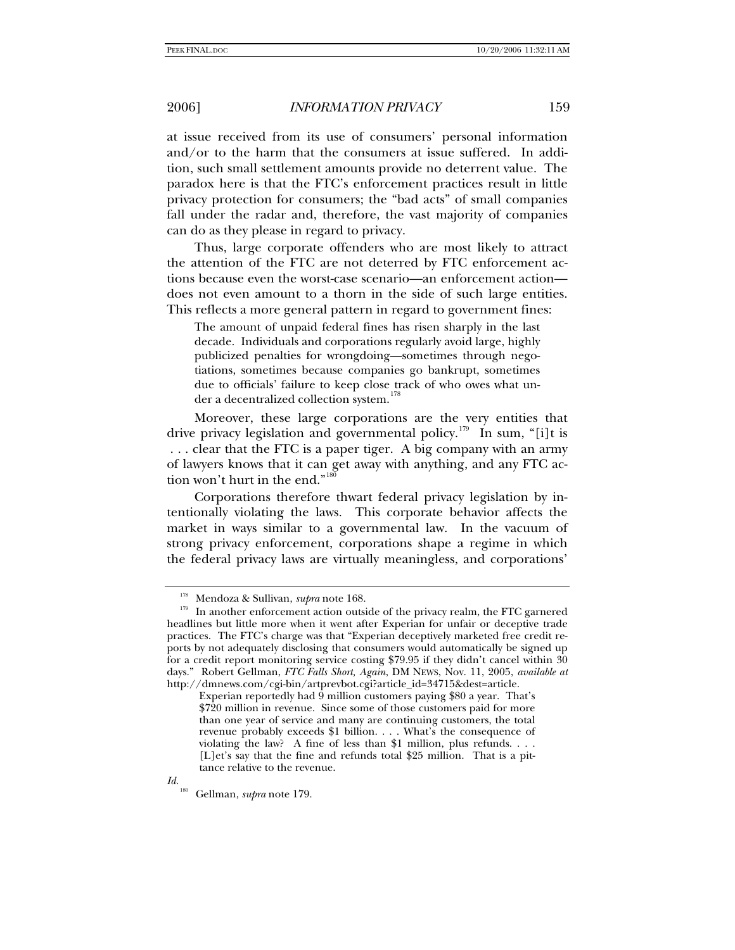at issue received from its use of consumers' personal information and/or to the harm that the consumers at issue suffered. In addition, such small settlement amounts provide no deterrent value. The paradox here is that the FTC's enforcement practices result in little privacy protection for consumers; the "bad acts" of small companies fall under the radar and, therefore, the vast majority of companies can do as they please in regard to privacy.

Thus, large corporate offenders who are most likely to attract the attention of the FTC are not deterred by FTC enforcement actions because even the worst-case scenario—an enforcement action does not even amount to a thorn in the side of such large entities. This reflects a more general pattern in regard to government fines:

The amount of unpaid federal fines has risen sharply in the last decade. Individuals and corporations regularly avoid large, highly publicized penalties for wrongdoing—sometimes through negotiations, sometimes because companies go bankrupt, sometimes due to officials' failure to keep close track of who owes what un-der a decentralized collection system.<sup>[178](#page-32-0)</sup>

Moreover, these large corporations are the very entities that drive privacy legislation and governmental policy.<sup>[179](#page-32-1)</sup> In sum, "[i]t is . . . clear that the FTC is a paper tiger. A big company with an army of lawyers knows that it can get away with anything, and any FTC ac-tion won't hurt in the end."<sup>[180](#page-32-2)</sup>

Corporations therefore thwart federal privacy legislation by intentionally violating the laws. This corporate behavior affects the market in ways similar to a governmental law.In the vacuum of strong privacy enforcement, corporations shape a regime in which the federal privacy laws are virtually meaningless, and corporations'

<span id="page-32-2"></span>*Id.* 

<span id="page-32-1"></span><span id="page-32-0"></span><sup>&</sup>lt;sup>178</sup> Mendoza & Sullivan, *supra* note 168.<br><sup>179</sup> In another enforcement action outside of the privacy realm, the FTC garnered headlines but little more when it went after Experian for unfair or deceptive trade practices. The FTC's charge was that "Experian deceptively marketed free credit reports by not adequately disclosing that consumers would automatically be signed up for a credit report monitoring service costing \$79.95 if they didn't cancel within 30 days." Robert Gellman, *FTC Falls Short, Again*, DM NEWS, Nov. 11, 2005, *available at* http://dmnews.com/cgi-bin/artprevbot.cgi?article\_id=34715&dest=article.

Experian reportedly had 9 million customers paying \$80 a year. That's \$720 million in revenue. Since some of those customers paid for more than one year of service and many are continuing customers, the total revenue probably exceeds \$1 billion. . . . What's the consequence of violating the law? A fine of less than \$1 million, plus refunds. . . . [L]et's say that the fine and refunds total \$25 million. That is a pittance relative to the revenue.

<sup>180</sup> Gellman, *supra* note 179.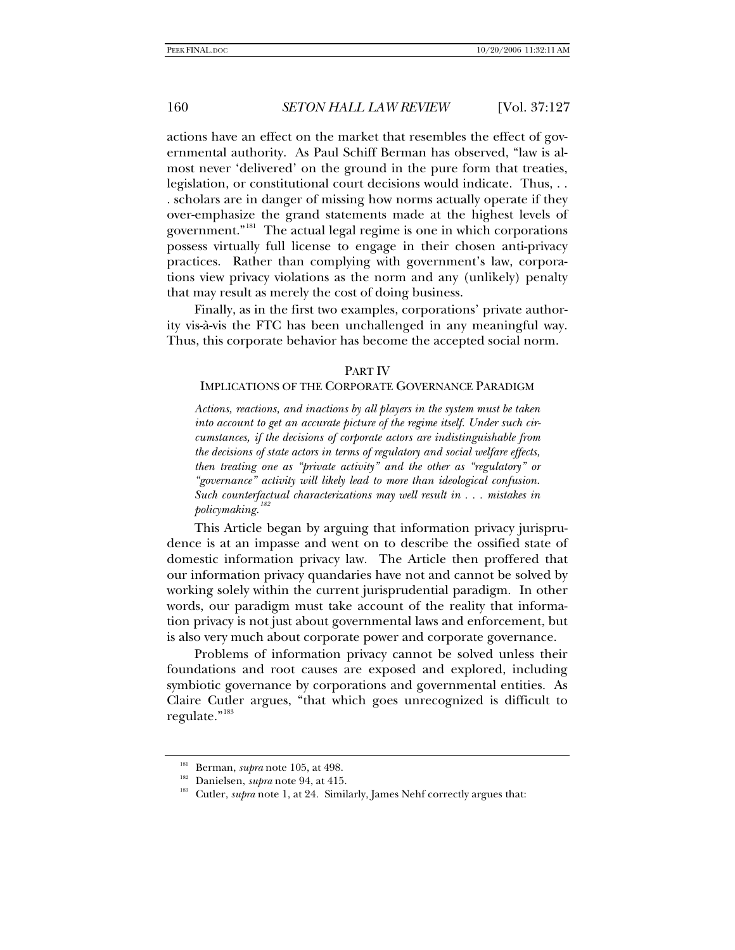actions have an effect on the market that resembles the effect of governmental authority. As Paul Schiff Berman has observed, "law is almost never 'delivered' on the ground in the pure form that treaties, legislation, or constitutional court decisions would indicate. Thus, . . . scholars are in danger of missing how norms actually operate if they over-emphasize the grand statements made at the highest levels of government."<sup>[181](#page-33-0)</sup> The actual legal regime is one in which corporations possess virtually full license to engage in their chosen anti-privacy practices. Rather than complying with government's law, corporations view privacy violations as the norm and any (unlikely) penalty that may result as merely the cost of doing business.

Finally, as in the first two examples, corporations' private authority vis-à-vis the FTC has been unchallenged in any meaningful way. Thus, this corporate behavior has become the accepted social norm.

## PART IV

# IMPLICATIONS OF THE CORPORATE GOVERNANCE PARADIGM

*Actions, reactions, and inactions by all players in the system must be taken into account to get an accurate picture of the regime itself. Under such circumstances, if the decisions of corporate actors are indistinguishable from the decisions of state actors in terms of regulatory and social welfare effects, then treating one as "private activity" and the other as "regulatory" or "governance" activity will likely lead to more than ideological confusion. Such counterfactual characterizations may well result in . . . mistakes in policymaking.*<sup>1</sup>

This Article began by arguing that information privacy jurisprudence is at an impasse and went on to describe the ossified state of domestic information privacy law. The Article then proffered that our information privacy quandaries have not and cannot be solved by working solely within the current jurisprudential paradigm. In other words, our paradigm must take account of the reality that information privacy is not just about governmental laws and enforcement, but is also very much about corporate power and corporate governance.

Problems of information privacy cannot be solved unless their foundations and root causes are exposed and explored, including symbiotic governance by corporations and governmental entities. As Claire Cutler argues, "that which goes unrecognized is difficult to regulate."<sup>[183](#page-33-2)</sup>

<span id="page-33-2"></span><span id="page-33-1"></span><span id="page-33-0"></span>

<sup>&</sup>lt;sup>181</sup> Berman, *supra* note 105, at 498.<br><sup>182</sup> Danielsen, *supra* note 94, at 415.<br><sup>183</sup> Cutler, *supra* note 1, at 24. Similarly, James Nehf correctly argues that: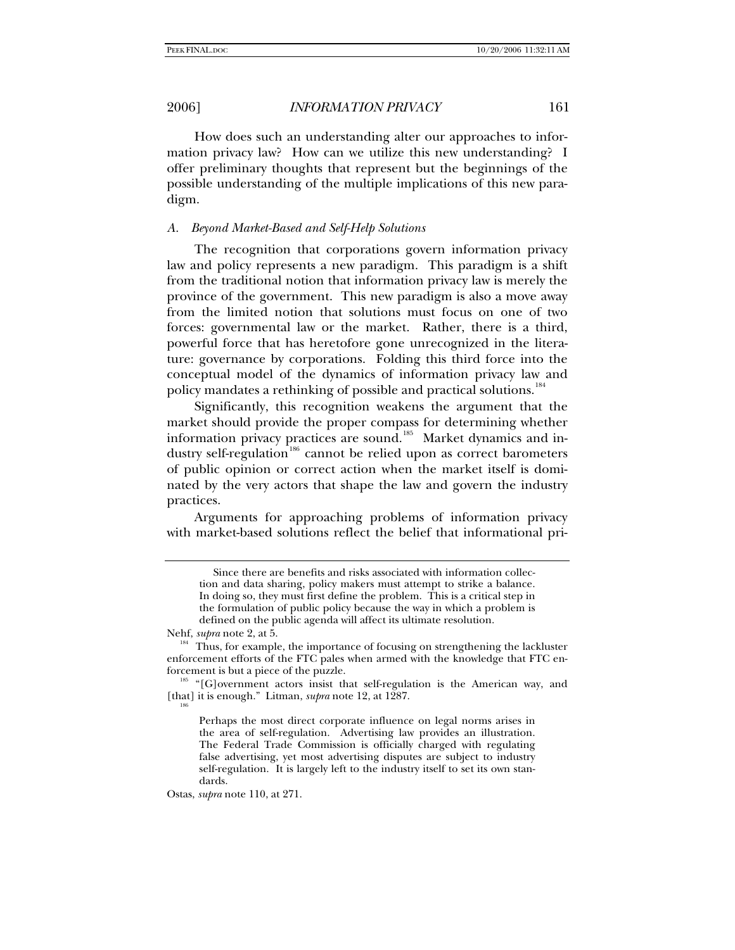How does such an understanding alter our approaches to information privacy law? How can we utilize this new understanding? I offer preliminary thoughts that represent but the beginnings of the possible understanding of the multiple implications of this new paradigm.

## *A. Beyond Market-Based and Self-Help Solutions*

The recognition that corporations govern information privacy law and policy represents a new paradigm. This paradigm is a shift from the traditional notion that information privacy law is merely the province of the government. This new paradigm is also a move away from the limited notion that solutions must focus on one of two forces: governmental law or the market. Rather, there is a third, powerful force that has heretofore gone unrecognized in the literature: governance by corporations. Folding this third force into the conceptual model of the dynamics of information privacy law and policy mandates a rethinking of possible and practical solutions.<sup>[184](#page-34-0)</sup>

Significantly, this recognition weakens the argument that the market should provide the proper compass for determining whether information privacy practices are sound.<sup>[185](#page-34-1)</sup> Market dynamics and in-dustry self-regulation<sup>[186](#page-34-2)</sup> cannot be relied upon as correct barometers of public opinion or correct action when the market itself is dominated by the very actors that shape the law and govern the industry practices.

Arguments for approaching problems of information privacy with market-based solutions reflect the belief that informational pri-

Ostas, *supra* note 110, at 271.

Since there are benefits and risks associated with information collection and data sharing, policy makers must attempt to strike a balance. In doing so, they must first define the problem. This is a critical step in the formulation of public policy because the way in which a problem is defined on the public agenda will affect its ultimate resolution.

<span id="page-34-0"></span>Nehf, *supra* note 2, at 5.<br><sup>184</sup> Thus, for example, the importance of focusing on strengthening the lackluster enforcement efforts of the FTC pales when armed with the knowledge that FTC enforcement is but a piece of the puzzle.

<span id="page-34-2"></span><span id="page-34-1"></span><sup>&</sup>lt;sup>185</sup> "[G]overnment actors insist that self-regulation is the American way, and [that] it is enough." Litman,  $\textit{supra}$  note 12, at 1287.

Perhaps the most direct corporate influence on legal norms arises in the area of self-regulation. Advertising law provides an illustration. The Federal Trade Commission is officially charged with regulating false advertising, yet most advertising disputes are subject to industry self-regulation. It is largely left to the industry itself to set its own standards.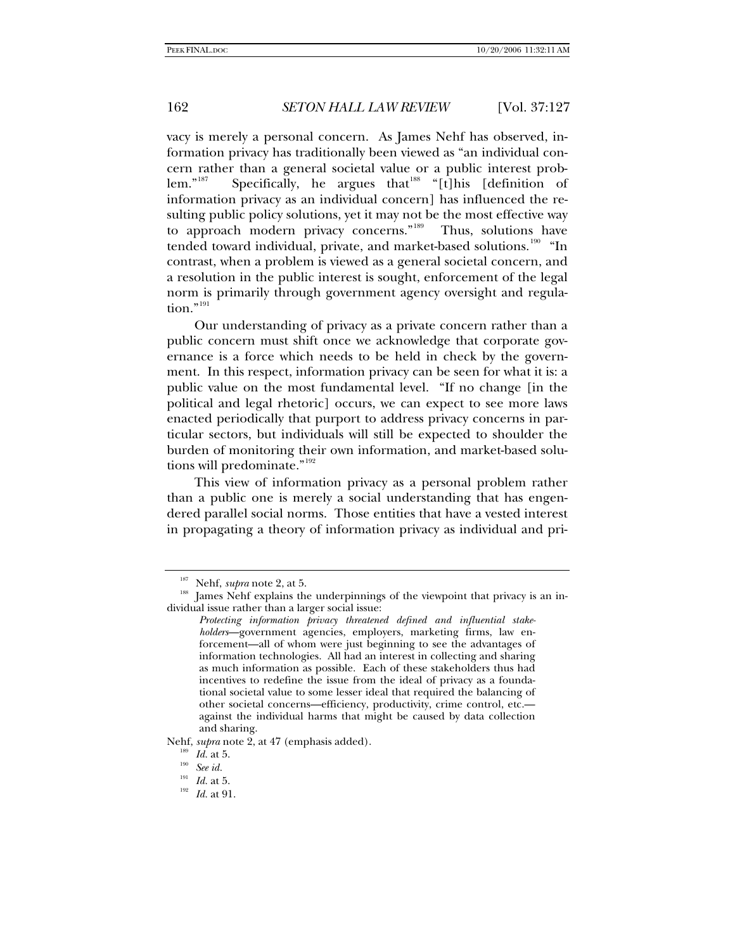vacy is merely a personal concern. As James Nehf has observed, information privacy has traditionally been viewed as "an individual concern rather than a general societal value or a public interest prob-lem."<sup>[187](#page-35-0)</sup> Specifically, he argues that<sup>[188](#page-35-1)</sup> "[t]his [definition of information privacy as an individual concern] has influenced the resulting public policy solutions, yet it may not be the most effective way to approach modern privacy concerns."<sup>[189](#page-35-2)</sup> Thus, solutions have tended toward individual, private, and market-based solutions.<sup>[190](#page-35-3)</sup> "In contrast, when a problem is viewed as a general societal concern, and a resolution in the public interest is sought, enforcement of the legal norm is primarily through government agency oversight and regula- $\text{tion.}^{\cdot}$ <sup>[191](#page-35-4)</sup>

Our understanding of privacy as a private concern rather than a public concern must shift once we acknowledge that corporate governance is a force which needs to be held in check by the government. In this respect, information privacy can be seen for what it is: a public value on the most fundamental level. "If no change [in the political and legal rhetoric] occurs, we can expect to see more laws enacted periodically that purport to address privacy concerns in particular sectors, but individuals will still be expected to shoulder the burden of monitoring their own information, and market-based solu-tions will predominate."<sup>[192](#page-35-5)</sup>

This view of information privacy as a personal problem rather than a public one is merely a social understanding that has engendered parallel social norms. Those entities that have a vested interest in propagating a theory of information privacy as individual and pri-

<span id="page-35-5"></span><span id="page-35-4"></span><span id="page-35-3"></span><span id="page-35-2"></span>Nehf, *supra* note 2, at 47 (emphasis added).<br><sup>189</sup> *Id.* at 5.<br><sup>190</sup> *Iee id.*<br>*III Id.* at 5.

<span id="page-35-1"></span><span id="page-35-0"></span><sup>&</sup>lt;sup>187</sup> Nehf, *supra* note 2, at 5.<br><sup>188</sup> James Nehf explains the underpinnings of the viewpoint that privacy is an individual issue rather than a larger social issue:

*Protecting information privacy threatened defined and influential stakeholders*—government agencies, employers, marketing firms, law enforcement—all of whom were just beginning to see the advantages of information technologies. All had an interest in collecting and sharing as much information as possible. Each of these stakeholders thus had incentives to redefine the issue from the ideal of privacy as a foundational societal value to some lesser ideal that required the balancing of other societal concerns—efficiency, productivity, crime control, etc. against the individual harms that might be caused by data collection and sharing.

<sup>&</sup>lt;sup>192</sup> *Id.* at 91.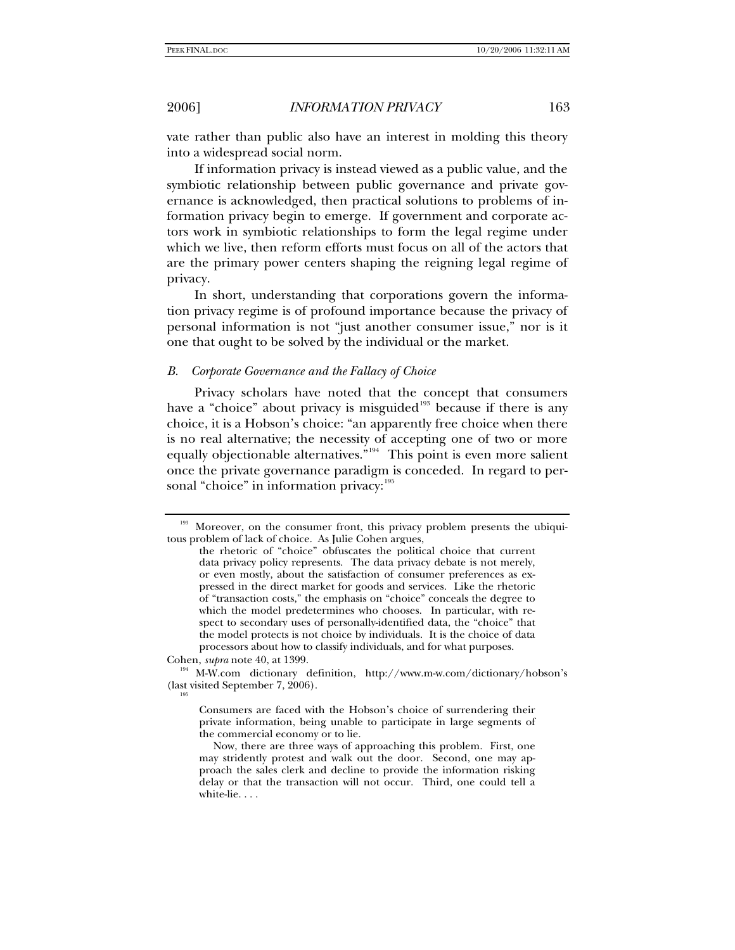vate rather than public also have an interest in molding this theory into a widespread social norm.

If information privacy is instead viewed as a public value, and the symbiotic relationship between public governance and private governance is acknowledged, then practical solutions to problems of information privacy begin to emerge. If government and corporate actors work in symbiotic relationships to form the legal regime under which we live, then reform efforts must focus on all of the actors that are the primary power centers shaping the reigning legal regime of privacy.

In short, understanding that corporations govern the information privacy regime is of profound importance because the privacy of personal information is not "just another consumer issue," nor is it one that ought to be solved by the individual or the market.

### *B. Corporate Governance and the Fallacy of Choice*

Privacy scholars have noted that the concept that consumers have a "choice" about privacy is misguided<sup>[193](#page-36-0)</sup> because if there is any choice, it is a Hobson's choice: "an apparently free choice when there is no real alternative; the necessity of accepting one of two or more equally objectionable alternatives."<sup>[194](#page-36-1)</sup> This point is even more salient once the private governance paradigm is conceded. In regard to per-sonal "choice" in information privacy: [195](#page-36-2)

<span id="page-36-0"></span><sup>&</sup>lt;sup>193</sup> Moreover, on the consumer front, this privacy problem presents the ubiquitous problem of lack of choice. As Julie Cohen argues,

the rhetoric of "choice" obfuscates the political choice that current data privacy policy represents. The data privacy debate is not merely, or even mostly, about the satisfaction of consumer preferences as expressed in the direct market for goods and services. Like the rhetoric of "transaction costs," the emphasis on "choice" conceals the degree to which the model predetermines who chooses. In particular, with respect to secondary uses of personally-identified data, the "choice" that the model protects is not choice by individuals. It is the choice of data processors about how to classify individuals, and for what purposes.

<span id="page-36-1"></span>Cohen, *supra* note 40, at 1399.<br><sup>194</sup> M-W.com dictionary definition, http://www.m-w.com/dictionary/hobson's (last visited September 7,  $2006$ ).

<span id="page-36-2"></span>

Consumers are faced with the Hobson's choice of surrendering their private information, being unable to participate in large segments of the commercial economy or to lie.

Now, there are three ways of approaching this problem. First, one may stridently protest and walk out the door. Second, one may approach the sales clerk and decline to provide the information risking delay or that the transaction will not occur. Third, one could tell a white-lie. . . .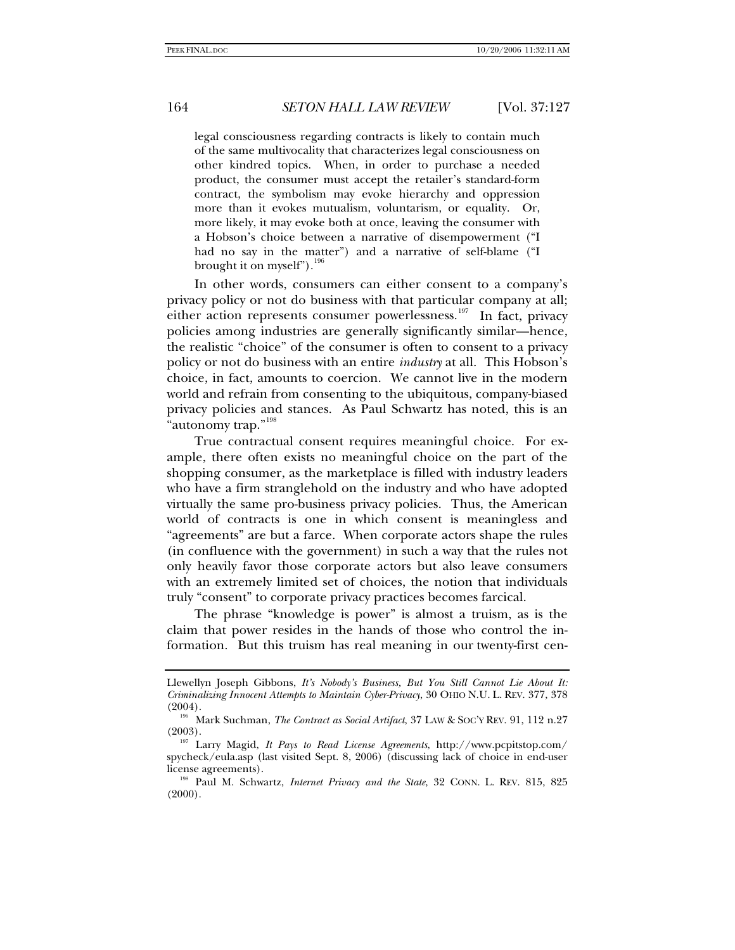legal consciousness regarding contracts is likely to contain much of the same multivocality that characterizes legal consciousness on other kindred topics. When, in order to purchase a needed product, the consumer must accept the retailer's standard-form contract, the symbolism may evoke hierarchy and oppression more than it evokes mutualism, voluntarism, or equality. Or, more likely, it may evoke both at once, leaving the consumer with a Hobson's choice between a narrative of disempowerment ("I had no say in the matter") and a narrative of self-blame ("I brought it on myself").  $196$ 

In other words, consumers can either consent to a company's privacy policy or not do business with that particular company at all; either action represents consumer powerlessness.<sup>[197](#page-37-1)</sup> In fact, privacy policies among industries are generally significantly similar—hence, the realistic "choice" of the consumer is often to consent to a privacy policy or not do business with an entire *industry* at all. This Hobson's choice, in fact, amounts to coercion. We cannot live in the modern world and refrain from consenting to the ubiquitous, company-biased privacy policies and stances. As Paul Schwartz has noted, this is an "autonomy trap."<sup>[198](#page-37-2)</sup>

True contractual consent requires meaningful choice. For example, there often exists no meaningful choice on the part of the shopping consumer, as the marketplace is filled with industry leaders who have a firm stranglehold on the industry and who have adopted virtually the same pro-business privacy policies. Thus, the American world of contracts is one in which consent is meaningless and "agreements" are but a farce. When corporate actors shape the rules (in confluence with the government) in such a way that the rules not only heavily favor those corporate actors but also leave consumers with an extremely limited set of choices, the notion that individuals truly "consent" to corporate privacy practices becomes farcical.

The phrase "knowledge is power" is almost a truism, as is the claim that power resides in the hands of those who control the information. But this truism has real meaning in our twenty-first cen-

Llewellyn Joseph Gibbons, *It's Nobody's Business, But You Still Cannot Lie About It: Criminalizing Innocent Attempts to Maintain Cyber-Privacy*, 30 OHIO N.U. L. REV. 377, 378

<span id="page-37-0"></span><sup>(2004). 196</sup> Mark Suchman, *The Contract as Social Artifact*, 37 LAW & SOC'Y REV. 91, 112 n.27

<span id="page-37-1"></span><sup>&</sup>lt;sup>197</sup> Larry Magid, *It Pays to Read License Agreements*, http://www.pcpitstop.com/ spycheck/eula.asp (last visited Sept. 8, 2006) (discussing lack of choice in end-user license agreements). 198 Paul M. Schwartz, *Internet Privacy and the State*, 32 CONN. L. REV. 815, 825

<span id="page-37-2"></span> $(2000)$ .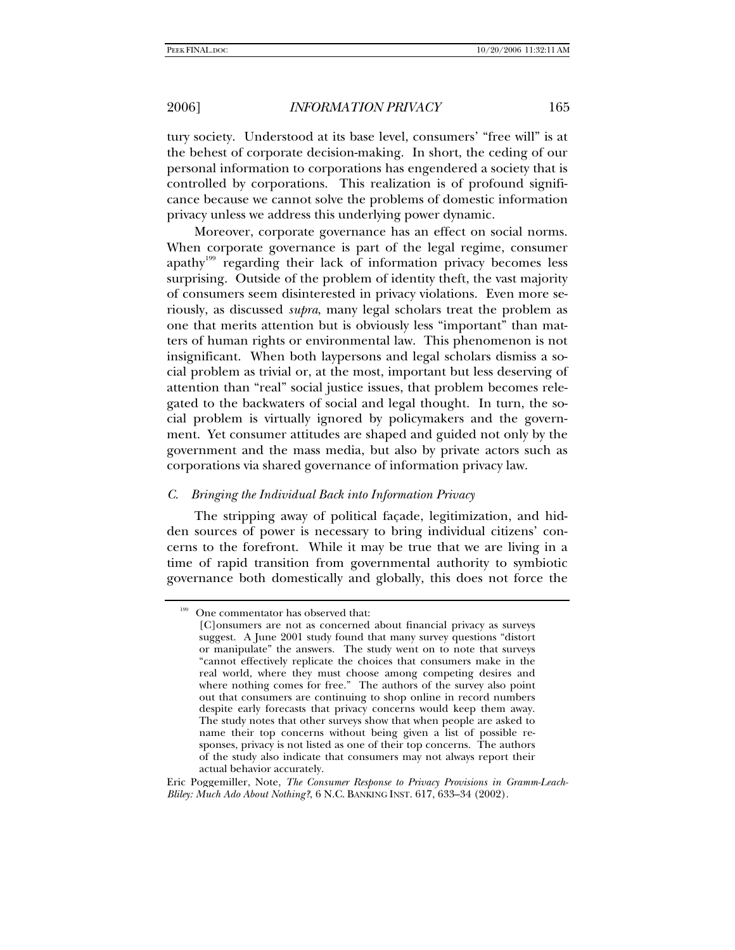tury society. Understood at its base level, consumers' "free will" is at the behest of corporate decision-making. In short, the ceding of our personal information to corporations has engendered a society that is controlled by corporations. This realization is of profound significance because we cannot solve the problems of domestic information privacy unless we address this underlying power dynamic.

Moreover, corporate governance has an effect on social norms. When corporate governance is part of the legal regime, consumer apathy<sup>[199](#page-38-0)</sup> regarding their lack of information privacy becomes less surprising. Outside of the problem of identity theft, the vast majority of consumers seem disinterested in privacy violations. Even more seriously, as discussed *supra*, many legal scholars treat the problem as one that merits attention but is obviously less "important" than matters of human rights or environmental law. This phenomenon is not insignificant. When both laypersons and legal scholars dismiss a social problem as trivial or, at the most, important but less deserving of attention than "real" social justice issues, that problem becomes relegated to the backwaters of social and legal thought. In turn, the social problem is virtually ignored by policymakers and the government. Yet consumer attitudes are shaped and guided not only by the government and the mass media, but also by private actors such as corporations via shared governance of information privacy law.

# *C. Bringing the Individual Back into Information Privacy*

The stripping away of political façade, legitimization, and hidden sources of power is necessary to bring individual citizens' concerns to the forefront. While it may be true that we are living in a time of rapid transition from governmental authority to symbiotic governance both domestically and globally, this does not force the

<span id="page-38-0"></span>One commentator has observed that:

<sup>[</sup>C]onsumers are not as concerned about financial privacy as surveys suggest. A June 2001 study found that many survey questions "distort or manipulate" the answers. The study went on to note that surveys "cannot effectively replicate the choices that consumers make in the real world, where they must choose among competing desires and where nothing comes for free." The authors of the survey also point out that consumers are continuing to shop online in record numbers despite early forecasts that privacy concerns would keep them away. The study notes that other surveys show that when people are asked to name their top concerns without being given a list of possible responses, privacy is not listed as one of their top concerns. The authors of the study also indicate that consumers may not always report their actual behavior accurately.

Eric Poggemiller, Note, *The Consumer Response to Privacy Provisions in Gramm-Leach-Bliley: Much Ado About Nothing?*, 6 N.C. BANKING INST. 617, 633–34 (2002).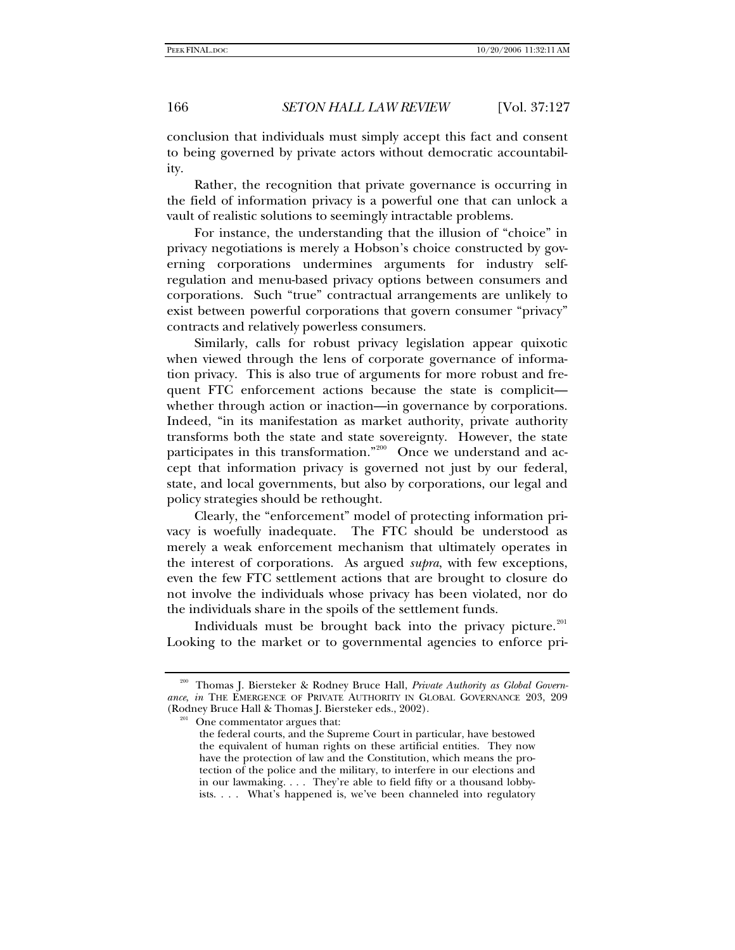conclusion that individuals must simply accept this fact and consent to being governed by private actors without democratic accountability.

Rather, the recognition that private governance is occurring in the field of information privacy is a powerful one that can unlock a vault of realistic solutions to seemingly intractable problems.

For instance, the understanding that the illusion of "choice" in privacy negotiations is merely a Hobson's choice constructed by governing corporations undermines arguments for industry selfregulation and menu-based privacy options between consumers and corporations. Such "true" contractual arrangements are unlikely to exist between powerful corporations that govern consumer "privacy" contracts and relatively powerless consumers.

Similarly, calls for robust privacy legislation appear quixotic when viewed through the lens of corporate governance of information privacy. This is also true of arguments for more robust and frequent FTC enforcement actions because the state is complicit whether through action or inaction—in governance by corporations. Indeed, "in its manifestation as market authority, private authority transforms both the state and state sovereignty. However, the state participates in this transformation."<sup>[200](#page-39-0)</sup> Once we understand and accept that information privacy is governed not just by our federal, state, and local governments, but also by corporations, our legal and policy strategies should be rethought.

Clearly, the "enforcement" model of protecting information privacy is woefully inadequate. The FTC should be understood as merely a weak enforcement mechanism that ultimately operates in the interest of corporations. As argued *supra*, with few exceptions, even the few FTC settlement actions that are brought to closure do not involve the individuals whose privacy has been violated, nor do the individuals share in the spoils of the settlement funds.

Individuals must be brought back into the privacy picture. $201$ Looking to the market or to governmental agencies to enforce pri-

<span id="page-39-1"></span><span id="page-39-0"></span><sup>200</sup> Thomas J. Biersteker & Rodney Bruce Hall, *Private Authority as Global Governance*, *in* THE EMERGENCE OF PRIVATE AUTHORITY IN GLOBAL GOVERNANCE 203, 209 (Rodney Bruce Hall & Thomas J. Biersteker eds., 2002).<br><sup>201</sup> One commentator argues that:

the federal courts, and the Supreme Court in particular, have bestowed the equivalent of human rights on these artificial entities. They now have the protection of law and the Constitution, which means the protection of the police and the military, to interfere in our elections and in our lawmaking. . . . They're able to field fifty or a thousand lobbyists. . . . What's happened is, we've been channeled into regulatory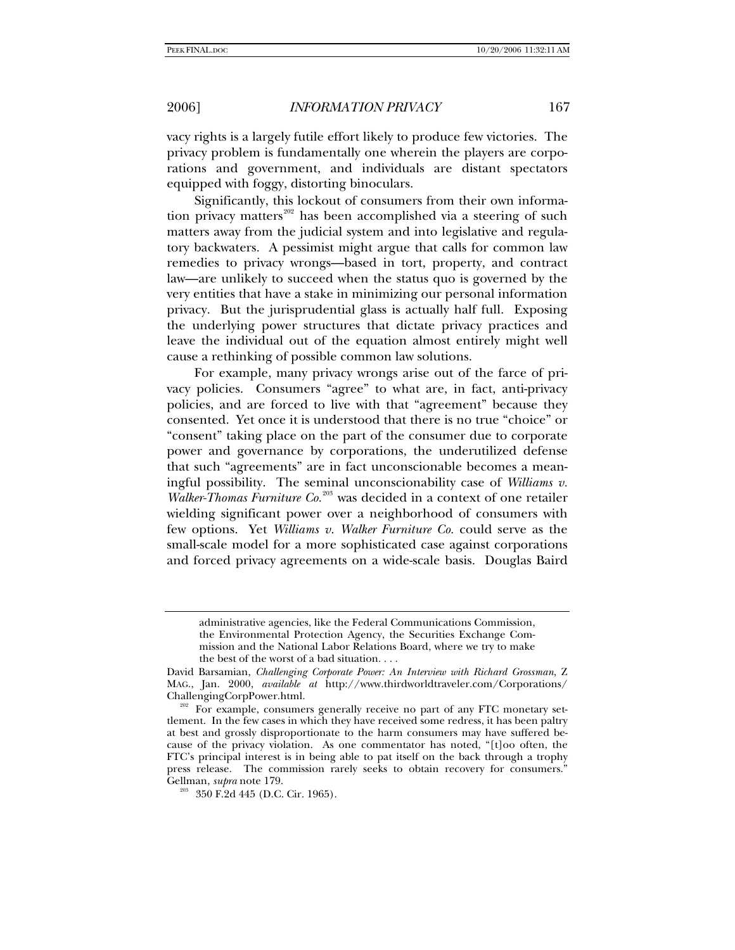vacy rights is a largely futile effort likely to produce few victories. The privacy problem is fundamentally one wherein the players are corporations and government, and individuals are distant spectators equipped with foggy, distorting binoculars.

Significantly, this lockout of consumers from their own informa-tion privacy matters<sup>[202](#page-40-0)</sup> has been accomplished via a steering of such matters away from the judicial system and into legislative and regulatory backwaters. A pessimist might argue that calls for common law remedies to privacy wrongs—based in tort, property, and contract law—are unlikely to succeed when the status quo is governed by the very entities that have a stake in minimizing our personal information privacy. But the jurisprudential glass is actually half full. Exposing the underlying power structures that dictate privacy practices and leave the individual out of the equation almost entirely might well cause a rethinking of possible common law solutions.

For example, many privacy wrongs arise out of the farce of privacy policies. Consumers "agree" to what are, in fact, anti-privacy policies, and are forced to live with that "agreement" because they consented. Yet once it is understood that there is no true "choice" or "consent" taking place on the part of the consumer due to corporate power and governance by corporations, the underutilized defense that such "agreements" are in fact unconscionable becomes a meaningful possibility. The seminal unconscionability case of *Williams v. Walker-Thomas Furniture Co.*[203](#page-40-1) was decided in a context of one retailer wielding significant power over a neighborhood of consumers with few options. Yet *Williams v. Walker Furniture Co.* could serve as the small-scale model for a more sophisticated case against corporations and forced privacy agreements on a wide-scale basis. Douglas Baird

administrative agencies, like the Federal Communications Commission, the Environmental Protection Agency, the Securities Exchange Commission and the National Labor Relations Board, where we try to make the best of the worst of a bad situation. . . .

David Barsamian, *Challenging Corporate Power: An Interview with Richard Grossman*, Z MAG., Jan. 2000, *available at* http://www.thirdworldtraveler.com/Corporations/ ChallengingCorpPower.html. 202 For example, consumers generally receive no part of any FTC monetary set-

<span id="page-40-0"></span>tlement. In the few cases in which they have received some redress, it has been paltry at best and grossly disproportionate to the harm consumers may have suffered because of the privacy violation. As one commentator has noted, "[t]oo often, the FTC's principal interest is in being able to pat itself on the back through a trophy press release. The commission rarely seeks to obtain recovery for consumers." Gellman, *supra* note 179.<br><sup>203</sup> 350 F.2d 445 (D.C. Cir. 1965).

<span id="page-40-1"></span>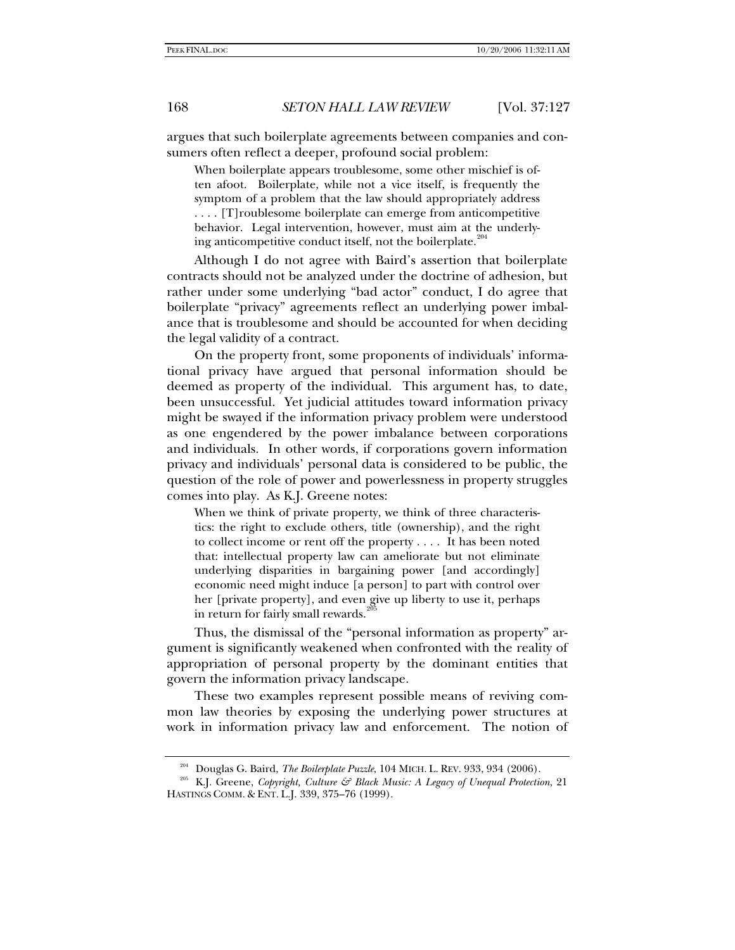argues that such boilerplate agreements between companies and consumers often reflect a deeper, profound social problem:

When boilerplate appears troublesome, some other mischief is often afoot. Boilerplate, while not a vice itself, is frequently the symptom of a problem that the law should appropriately address . . . . [T]roublesome boilerplate can emerge from anticompetitive behavior. Legal intervention, however, must aim at the underlying anticompetitive conduct itself, not the boilerplate. $204$ 

Although I do not agree with Baird's assertion that boilerplate contracts should not be analyzed under the doctrine of adhesion, but rather under some underlying "bad actor" conduct, I do agree that boilerplate "privacy" agreements reflect an underlying power imbalance that is troublesome and should be accounted for when deciding the legal validity of a contract.

On the property front, some proponents of individuals' informational privacy have argued that personal information should be deemed as property of the individual. This argument has, to date, been unsuccessful. Yet judicial attitudes toward information privacy might be swayed if the information privacy problem were understood as one engendered by the power imbalance between corporations and individuals. In other words, if corporations govern information privacy and individuals' personal data is considered to be public, the question of the role of power and powerlessness in property struggles comes into play. As K.J. Greene notes:

When we think of private property, we think of three characteristics: the right to exclude others, title (ownership), and the right to collect income or rent off the property . . . . It has been noted that: intellectual property law can ameliorate but not eliminate underlying disparities in bargaining power [and accordingly] economic need might induce [a person] to part with control over her [private property], and even give up liberty to use it, perhaps in return for fairly small rewards.

Thus, the dismissal of the "personal information as property" argument is significantly weakened when confronted with the reality of appropriation of personal property by the dominant entities that govern the information privacy landscape.

These two examples represent possible means of reviving common law theories by exposing the underlying power structures at work in information privacy law and enforcement. The notion of

<span id="page-41-1"></span><span id="page-41-0"></span><sup>204</sup> Douglas G. Baird, *The Boilerplate Puzzle*, 104 MICH. L. REV. 933, 934 (2006). 205 K.J. Greene, *Copyright, Culture & Black Music: A Legacy of Unequal Protection*, 21 HASTINGS COMM. & ENT. L.J. 339, 375–76 (1999).